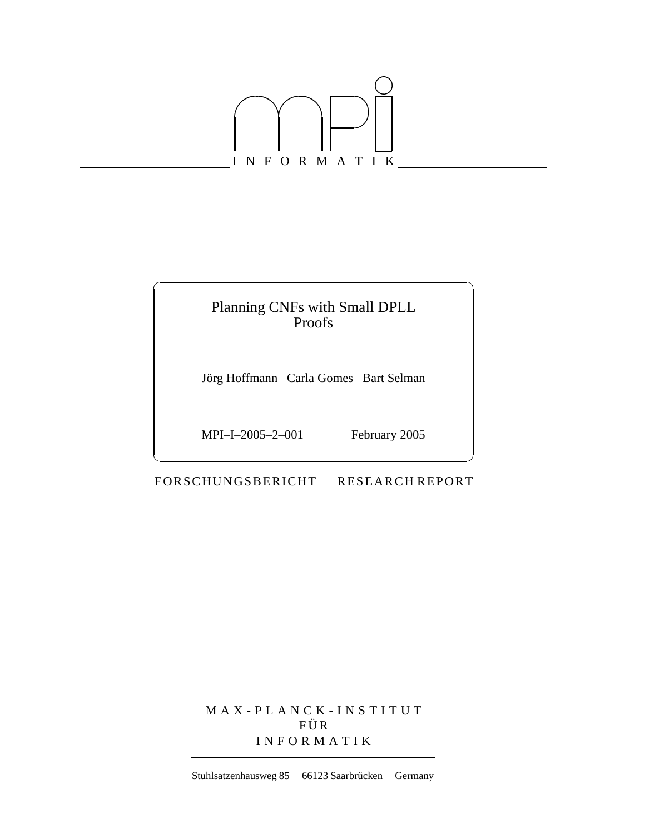

## Planning CNFs with Small DPLL Proofs

Jörg Hoffmann Carla Gomes Bart Selman

MPI–I–2005–2–001 February 2005

-

FORSCHUNGSBERICHT RESEARCH REPORT

MAX-PLANCK-INSTITUT  $F \ddot{U} R$ INFORMATIK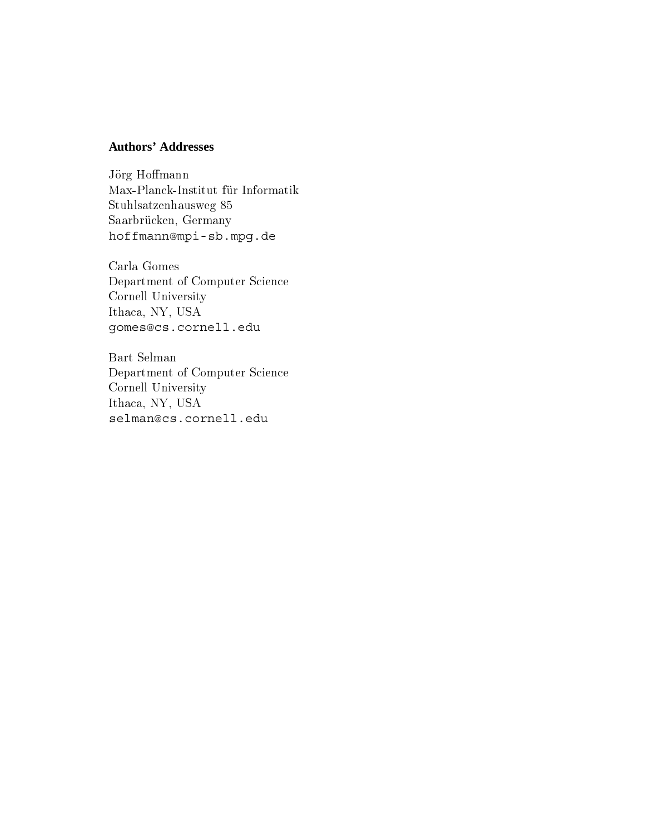## **Authors' Addresses**

- - THE I REAL THROUGH THE INFORMATION IS A Stuhlsatzenhausweg 85 Saarbrücken, Germany hoffmann@mpi-sb.mpg.de

" -  $\sim$  -  $\sim$  -  $\sim$  -  $\sim$  -  $\sim$  -  $\sim$  -  $\sim$  -  $\sim$  -  $\sim$  -  $\sim$  -  $\sim$  -  $\sim$  -  $\sim$  -  $\sim$  -  $\sim$  -  $\sim$  -  $\sim$  -  $\sim$  -  $\sim$  -  $\sim$  -  $\sim$  -  $\sim$  -  $\sim$  -  $\sim$  -  $\sim$  -  $\sim$  -  $\sim$  -  $\sim$  -  $\sim$  -  $\sim$  -  $\sim$  -  $\sim$ "- % &! Ithaca, NY, USA gomes@cs.cornell.edu

Bart Selman  $\sim$  -portinues of  $\sim$  -simple to -the set of  $\sim$ "- % &! Ithaca, NY, USA selman@cs.cornell.edu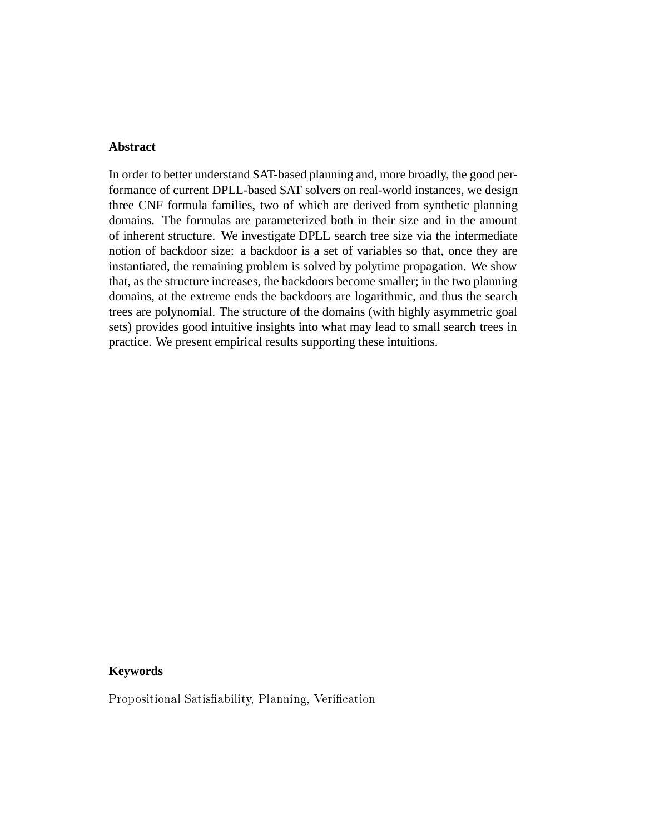### **Abstract**

In order to better understand SAT-based planning and, more broadly, the good performance of current DPLL-based SAT solvers on real-world instances, we design three CNF formula families, two of which are derived from synthetic planning domains. The formulas are parameterized both in their size and in the amount of inherent structure. We investigate DPLL search tree size via the intermediate notion of backdoor size: a backdoor is a set of variables so that, once they are instantiated, the remaining problem is solved by polytime propagation. We show that, as the structure increases, the backdoors become smaller; in the two planning domains, at the extreme ends the backdoors are logarithmic, and thus the search trees are polynomial. The structure of the domains (with highly asymmetric goal sets) provides good intuitive insights into what may lead to small search trees in practice. We present empirical results supporting these intuitions.

### **Keywords**

 $\cdots$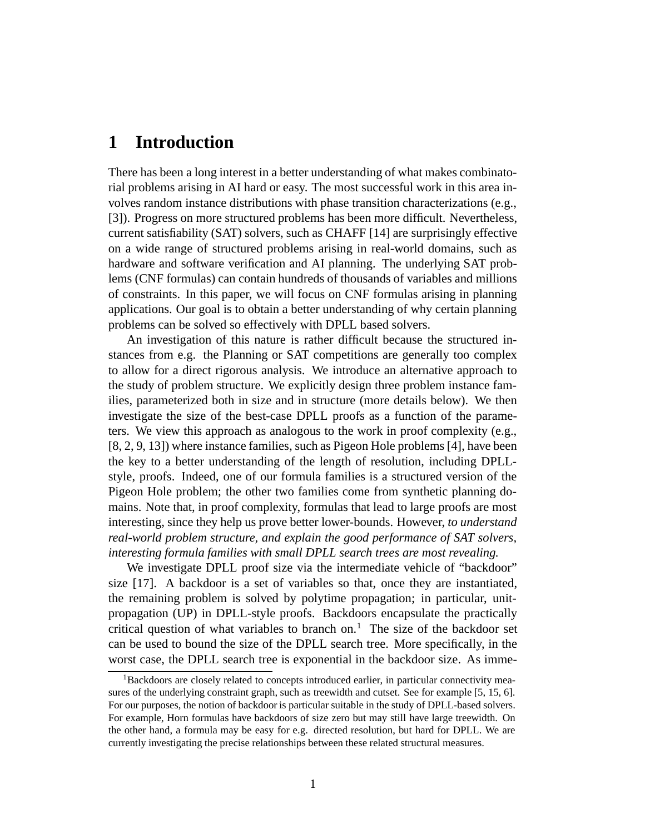# **1 Introduction**

There has been a long interest in a better understanding of what makes combinatorial problems arising in AI hard or easy. The most successful work in this area involves random instance distributions with phase transition characterizations (e.g., [3]). Progress on more structured problems has been more difficult. Nevertheless, current satisfiability (SAT) solvers, such as CHAFF [14] are surprisingly effective on a wide range of structured problems arising in real-world domains, such as hardware and software verification and AI planning. The underlying SAT problems (CNF formulas) can contain hundreds of thousands of variables and millions of constraints. In this paper, we will focus on CNF formulas arising in planning applications. Our goal is to obtain a better understanding of why certain planning problems can be solved so effectively with DPLL based solvers.

An investigation of this nature is rather difficult because the structured instances from e.g. the Planning or SAT competitions are generally too complex to allow for a direct rigorous analysis. We introduce an alternative approach to the study of problem structure. We explicitly design three problem instance families, parameterized both in size and in structure (more details below). We then investigate the size of the best-case DPLL proofs as a function of the parameters. We view this approach as analogous to the work in proof complexity (e.g., [8, 2, 9, 13]) where instance families, such as Pigeon Hole problems [4], have been the key to a better understanding of the length of resolution, including DPLLstyle, proofs. Indeed, one of our formula families is a structured version of the Pigeon Hole problem; the other two families come from synthetic planning domains. Note that, in proof complexity, formulas that lead to large proofs are most interesting, since they help us prove better lower-bounds. However, *to understand real-world problem structure, and explain the good performance of SAT solvers, interesting formula families with small DPLL search trees are most revealing.*

We investigate DPLL proof size via the intermediate vehicle of "backdoor" size [17]. A backdoor is a set of variables so that, once they are instantiated, the remaining problem is solved by polytime propagation; in particular, unitpropagation (UP) in DPLL-style proofs. Backdoors encapsulate the practically critical question of what variables to branch on.<sup>1</sup> The size of the backdoor set can be used to bound the size of the DPLL search tree. More specifically, in the worst case, the DPLL search tree is exponential in the backdoor size. As imme-

<sup>&</sup>lt;sup>1</sup>Backdoors are closely related to concepts introduced earlier, in particular connectivity measures of the underlying constraint graph, such as treewidth and cutset. See for example [5, 15, 6]. For our purposes, the notion of backdoor is particular suitable in the study of DPLL-based solvers. For example, Horn formulas have backdoors of size zero but may still have large treewidth. On the other hand, a formula may be easy for e.g. directed resolution, but hard for DPLL. We are currently investigating the precise relationships between these related structural measures.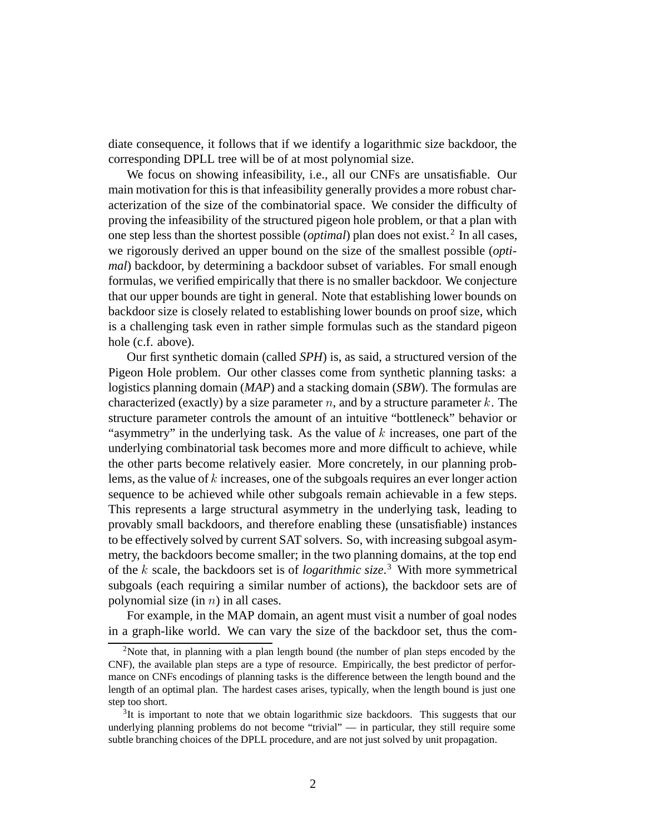diate consequence, it follows that if we identify a logarithmic size backdoor, the corresponding DPLL tree will be of at most polynomial size.

We focus on showing infeasibility, i.e., all our CNFs are unsatisfiable. Our main motivation for this is that infeasibility generally provides a more robust characterization of the size of the combinatorial space. We consider the difficulty of proving the infeasibility of the structured pigeon hole problem, or that a plan with one step less than the shortest possible *(optimal)* plan does not exist.<sup>2</sup> In all cases, we rigorously derived an upper bound on the size of the smallest possible (*optimal*) backdoor, by determining a backdoor subset of variables. For small enough formulas, we verified empirically that there is no smaller backdoor. We conjecture that our upper bounds are tight in general. Note that establishing lower bounds on backdoor size is closely related to establishing lower bounds on proof size, which is a challenging task even in rather simple formulas such as the standard pigeon hole (c.f. above).

Our first synthetic domain (called *SPH*) is, as said, a structured version of the Pigeon Hole problem. Our other classes come from synthetic planning tasks: a logistics planning domain (*MAP*) and a stacking domain (*SBW*). The formulas are characterized (exactly) by a size parameter  $n$ , and by a structure parameter k. The structure parameter controls the amount of an intuitive "bottleneck" behavior or "asymmetry" in the underlying task. As the value of  $k$  increases, one part of the underlying combinatorial task becomes more and more difficult to achieve, while the other parts become relatively easier. More concretely, in our planning problems, as the value of  $k$  increases, one of the subgoals requires an ever longer action sequence to be achieved while other subgoals remain achievable in a few steps. This represents a large structural asymmetry in the underlying task, leading to provably small backdoors, and therefore enabling these (unsatisfiable) instances to be effectively solved by current SAT solvers. So, with increasing subgoal asymmetry, the backdoors become smaller; in the two planning domains, at the top end of the  $k$  scale, the backdoors set is of *logarithmic size*.<sup>3</sup> With more symmetrical subgoals (each requiring a similar number of actions), the backdoor sets are of polynomial size (in  $n$ ) in all cases.

For example, in the MAP domain, an agent must visit a number of goal nodes in a graph-like world. We can vary the size of the backdoor set, thus the com-

<sup>&</sup>lt;sup>2</sup>Note that, in planning with a plan length bound (the number of plan steps encoded by the CNF), the available plan steps are a type of resource. Empirically, the best predictor of performance on CNFs encodings of planning tasks is the difference between the length bound and the length of an optimal plan. The hardest cases arises, typically, when the length bound is just one step too short.

 $3$ It is important to note that we obtain logarithmic size backdoors. This suggests that our underlying planning problems do not become "trivial" — in particular, they still require some subtle branching choices of the DPLL procedure, and are not just solved by unit propagation.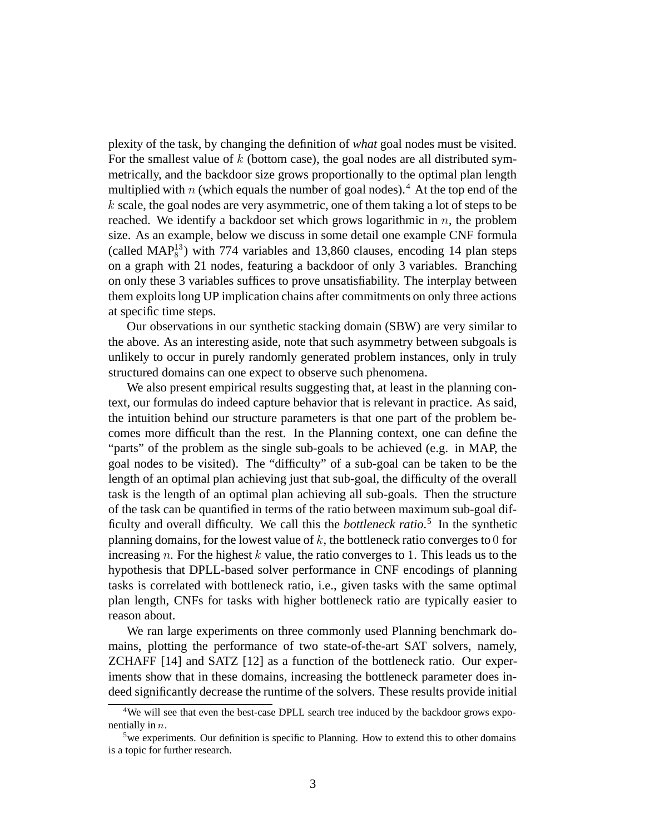plexity of the task, by changing the definition of *what* goal nodes must be visited. For the smallest value of  $k$  (bottom case), the goal nodes are all distributed symmetrically, and the backdoor size grows proportionally to the optimal plan length multiplied with  $n$  (which equals the number of goal nodes).<sup>4</sup> At the top end of the  $k$  scale, the goal nodes are very asymmetric, one of them taking a lot of steps to be reached. We identify a backdoor set which grows logarithmic in  $n$ , the problem size. As an example, below we discuss in some detail one example CNF formula (called  $MAP_8^{13}$ ) with 774 variables and 13,860 clauses, encoding 14 plan steps on a graph with 21 nodes, featuring a backdoor of only 3 variables. Branching on only these 3 variables suffices to prove unsatisfiability. The interplay between them exploits long UP implication chains after commitments on only three actions at specific time steps.

Our observations in our synthetic stacking domain (SBW) are very similar to the above. As an interesting aside, note that such asymmetry between subgoals is unlikely to occur in purely randomly generated problem instances, only in truly structured domains can one expect to observe such phenomena.

We also present empirical results suggesting that, at least in the planning context, our formulas do indeed capture behavior that is relevant in practice. As said, the intuition behind our structure parameters is that one part of the problem becomes more difficult than the rest. In the Planning context, one can define the "parts" of the problem as the single sub-goals to be achieved (e.g. in MAP, the goal nodes to be visited). The "difficulty" of a sub-goal can be taken to be the length of an optimal plan achieving just that sub-goal, the difficulty of the overall task is the length of an optimal plan achieving all sub-goals. Then the structure of the task can be quantified in terms of the ratio between maximum sub-goal difficulty and overall difficulty. We call this the *bottleneck ratio*. <sup>5</sup> In the synthetic planning domains, for the lowest value of  $k$ , the bottleneck ratio converges to  $0$  for increasing  $n$ . For the highest  $k$  value, the ratio converges to 1. This leads us to the hypothesis that DPLL-based solver performance in CNF encodings of planning tasks is correlated with bottleneck ratio, i.e., given tasks with the same optimal plan length, CNFs for tasks with higher bottleneck ratio are typically easier to reason about.

We ran large experiments on three commonly used Planning benchmark domains, plotting the performance of two state-of-the-art SAT solvers, namely, ZCHAFF [14] and SATZ [12] as a function of the bottleneck ratio. Our experiments show that in these domains, increasing the bottleneck parameter does indeed significantly decrease the runtime of the solvers. These results provide initial

<sup>&</sup>lt;sup>4</sup>We will see that even the best-case DPLL search tree induced by the backdoor grows exponentially in  $n$ .

<sup>&</sup>lt;sup>5</sup>we experiments. Our definition is specific to Planning. How to extend this to other domains is a topic for further research.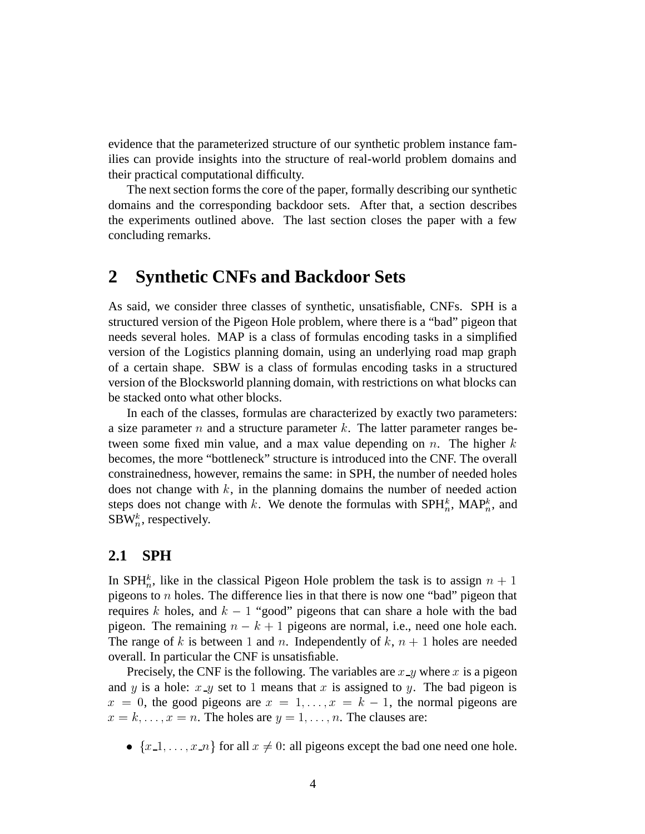evidence that the parameterized structure of our synthetic problem instance families can provide insights into the structure of real-world problem domains and their practical computational difficulty.

The next section forms the core of the paper, formally describing our synthetic domains and the corresponding backdoor sets. After that, a section describes the experiments outlined above. The last section closes the paper with a few concluding remarks.

# **2 Synthetic CNFs and Backdoor Sets**

As said, we consider three classes of synthetic, unsatisfiable, CNFs. SPH is a structured version of the Pigeon Hole problem, where there is a "bad" pigeon that needs several holes. MAP is a class of formulas encoding tasks in a simplified version of the Logistics planning domain, using an underlying road map graph of a certain shape. SBW is a class of formulas encoding tasks in a structured version of the Blocksworld planning domain, with restrictions on what blocks can be stacked onto what other blocks.

In each of the classes, formulas are characterized by exactly two parameters: a size parameter  $n$  and a structure parameter  $k$ . The latter parameter ranges between some fixed min value, and a max value depending on  $n$ . The higher  $k$ becomes, the more "bottleneck" structure is introduced into the CNF. The overall constrainedness, however, remains the same: in SPH, the number of needed holes does not change with  $k$ , in the planning domains the number of needed action steps does not change with k. We denote the formulas with  $SPH_n^k$ , MAP<sub>n</sub>, and SBW<sub>n</sub>, respectively.

## **2.1 SPH**

In SPH<sup>k</sup><sub>n</sub>, like in the classical Pigeon Hole problem the task is to assign  $n + 1$ pigeons to  $n$  holes. The difference lies in that there is now one "bad" pigeon that requires k holes, and  $k - 1$  "good" pigeons that can share a hole with the bad pigeon. The remaining  $n - k + 1$  pigeons are normal, i.e., need one hole each. The range of k is between 1 and n. Independently of  $k$ ,  $n + 1$  holes are needed overall. In particular the CNF is unsatisfiable.

Precisely, the CNF is the following. The variables are  $x \, \text{-} y$  where  $x$  is a pigeon and y is a hole:  $x \_y$  set to 1 means that x is assigned to y. The bad pigeon is  $x = 0$ , the good pigeons are  $x = 1, \ldots, x = k - 1$ , the normal pigeons are  $x = k, \ldots, x = n$ . The holes are  $y = 1, \ldots, n$ . The clauses are:

•  $\{x_1, \ldots, x_n\}$  for all  $x \neq 0$ : all pigeons except the bad one need one hole.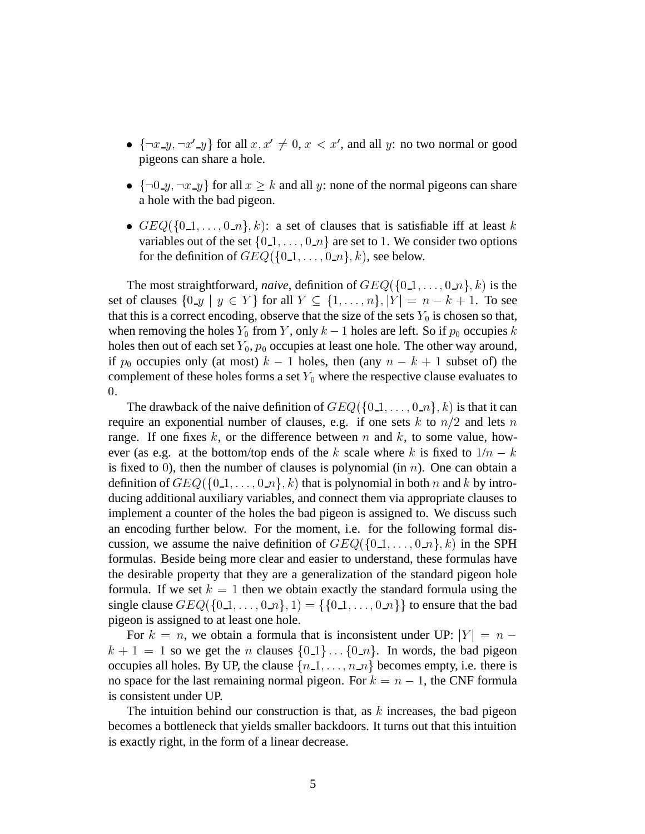- $\{\neg x \_y, \neg x' \_y\}$  for all  $x, x' \neq 0, x < x'$ , and all y: no two normal or good pigeons can share a hole.
- $\{\neg 0 \_\mathcal{Y}, \neg x \_\mathcal{Y}\}$  for all  $x \geq k$  and all y: none of the normal pigeons can share a hole with the bad pigeon.
- $GEQ({0,1,...,0,n},k)$ : a set of clauses that is satisfiable iff at least k variables out of the set  $\{0, 1, \ldots, 0, n\}$  are set to 1. We consider two options for the definition of  $GEQ({0 \dots 1, \dots, 0 \dots 1}, k)$ , see below.

The most straightforward, *naive*, definition of  $GEQ({0,1,...,0,n}, k)$  is the set of clauses  $\{0,y \mid y \in Y\}$  for all  $Y \subseteq \{1,\ldots,n\}, |Y| = n-k+1$ . To see that this is a correct encoding, observe that the size of the sets  $Y_0$  is chosen so that, when removing the holes  $Y_0$  from Y, only  $k-1$  holes are left. So if  $p_0$  occupies  $k$ holes then out of each set  $Y_0$ ,  $p_0$  occupies at least one hole. The other way around, if  $p_0$  occupies only (at most)  $k-1$  holes, then (any  $n-k+1$  subset of) the complement of these holes forms a set  $Y_0$  where the respective clause evaluates to  $\theta$ .

The drawback of the naive definition of  $GEQ({0,1,\ldots,0,n},k)$  is that it can require an exponential number of clauses, e.g. if one sets k to  $n/2$  and lets n range. If one fixes  $k$ , or the difference between  $n$  and  $k$ , to some value, however (as e.g. at the bottom/top ends of the k scale where k is fixed to  $1/n - k$ is fixed to 0), then the number of clauses is polynomial (in  $n$ ). One can obtain a definition of  $GEQ$   $\{0_1, \ldots, 0_n\}, k)$  that is polynomial in both  $n$  and  $k$  by introducing additional auxiliary variables, and connect them via appropriate clauses to implement a counter of the holes the bad pigeon is assigned to. We discuss such an encoding further below. For the moment, i.e. for the following formal discussion, we assume the naive definition of  $GEQ({0,1,...,0,n},k)$  in the SPH formulas. Beside being more clear and easier to understand, these formulas have the desirable property that they are a generalization of the standard pigeon hole formula. If we set  $k = 1$  then we obtain exactly the standard formula using the single clause  $GEQ({0,1,...,0,n}, 1) = {\{0,1,...,0,n\}}$  to ensure that the bad pigeon is assigned to at least one hole.

For  $k = n$ , we obtain a formula that is inconsistent under UP:  $|Y| = n$  $k + 1 = 1$  so we get the *n* clauses  $\{0, 1\} \dots \{0, n\}$ . In words, the bad pigeon occupies all holes. By UP, the clause  $\{n_1, \ldots, n_n\}$  becomes empty, i.e. there is no space for the last remaining normal pigeon. For  $k = n - 1$ , the CNF formula is consistent under UP.

The intuition behind our construction is that, as  $k$  increases, the bad pigeon becomes a bottleneck that yields smaller backdoors. It turns out that this intuition is exactly right, in the form of a linear decrease.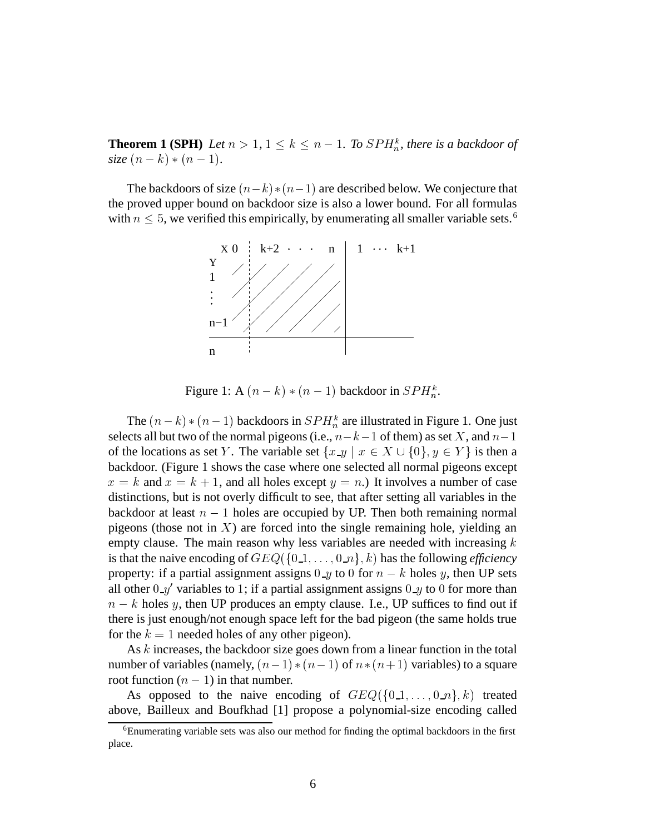**Theorem 1 (SPH)** Let  $n > 1$ ,  $1 \leq k \leq n - 1$ . To  $SPH_n^k$ , there is a backdoor of *size*  $(n - k) * (n - 1)$ .

The backdoors of size  $(n-k)*(n-1)$  are described below. We conjecture that the proved upper bound on backdoor size is also a lower bound. For all formulas with  $n \leq 5$ , we verified this empirically, by enumerating all smaller variable sets.<sup>6</sup>



Figure 1: A  $(n - k) * (n - 1)$  backdoor in  $SPH_n^k$ .

The  $(n - k) * (n - 1)$  backdoors in  $SPH_n^k$  are illustrated in Figure 1. One just selects all but two of the normal pigeons (i.e.,  $n-k-1$  of them) as set X, and  $n-1$ of the locations as set Y. The variable set  $\{x \_y \mid x \in X \cup \{0\}, y \in Y\}$  is then a backdoor. (Figure 1 shows the case where one selected all normal pigeons except  $x = k$  and  $x = k + 1$ , and all holes except  $y = n$ .) It involves a number of case distinctions, but is not overly difficult to see, that after setting all variables in the backdoor at least  $n - 1$  holes are occupied by UP. Then both remaining normal pigeons (those not in  $X$ ) are forced into the single remaining hole, yielding an empty clause. The main reason why less variables are needed with increasing  $k$ is that the naive encoding of  $GEQ$   $\{0.1, \ldots, 0.1\}$ , k) has the following *efficiency* property: if a partial assignment assigns  $0 \mathcal{A}$  to 0 for  $n - k$  holes y, then UP sets all other  $0-y'$  variables to 1; if a partial assignment assigns  $0-y$  to  $0$  for more than  $n - k$  holes y, then UP produces an empty clause. I.e., UP suffices to find out if there is just enough/not enough space left for the bad pigeon (the same holds true for the  $k = 1$  needed holes of any other pigeon).

As  $k$  increases, the backdoor size goes down from a linear function in the total number of variables (namely,  $(n - 1) * (n - 1)$  of  $n * (n + 1)$  variables) to a square root function  $(n - 1)$  in that number.

As opposed to the naive encoding of  $GEQ({0,1,...,0,n},k)$  treated above, Bailleux and Boufkhad [1] propose a polynomial-size encoding called

<sup>6</sup>Enumerating variable sets was also our method for finding the optimal backdoors in the first place.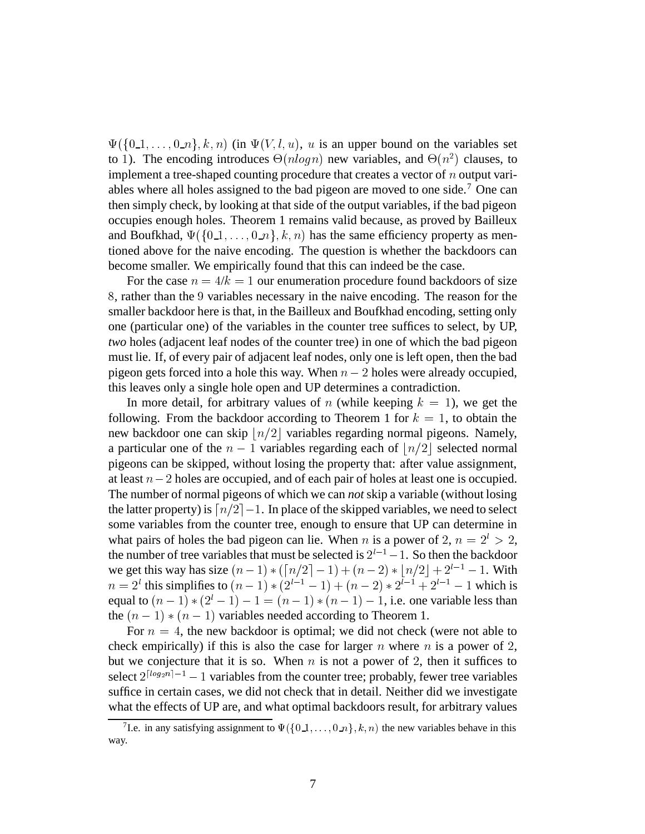$\Psi(\{0,1,\ldots,0,n\},k,n)$  (in  $\Psi(V,l,u)$ , u is an upper bound on the variables set to 1). The encoding introduces  $\Theta(n \log n)$  new variables, and  $\Theta(n^2)$  clauses, to implement a tree-shaped counting procedure that creates a vector of  $n$  output variables where all holes assigned to the bad pigeon are moved to one side.<sup>7</sup> One can then simply check, by looking at that side of the output variables, if the bad pigeon occupies enough holes. Theorem 1 remains valid because, as proved by Bailleux and Boufkhad,  $\Psi(\{0,1,\ldots,0,n\},k,n)$  has the same efficiency property as mentioned above for the naive encoding. The question is whether the backdoors can become smaller. We empirically found that this can indeed be the case.

For the case  $n = 4/k = 1$  our enumeration procedure found backdoors of size , rather than the <sup>7</sup> variables necessary in the naive encoding. The reason for the smaller backdoor here is that, in the Bailleux and Boufkhad encoding, setting only one (particular one) of the variables in the counter tree suffices to select, by UP, *two* holes (adjacent leaf nodes of the counter tree) in one of which the bad pigeon must lie. If, of every pair of adjacent leaf nodes, only one is left open, then the bad pigeon gets forced into a hole this way. When  $n - 2$  holes were already occupied, this leaves only a single hole open and UP determines a contradiction.

In more detail, for arbitrary values of *n* (while keeping  $k = 1$ ), we get the following. From the backdoor according to Theorem 1 for  $k = 1$ , to obtain the new backdoor one can skip  $\lfloor n/2 \rfloor$  variables regarding normal pigeons. Namely, a particular one of the  $n-1$  variables regarding each of  $\lfloor n/2 \rfloor$  selected normal pigeons can be skipped, without losing the property that: after value assignment, at least  $n-2$  holes are occupied, and of each pair of holes at least one is occupied. The number of normal pigeons of which we can *not* skip a variable (without losing the latter property) is  $\lceil n/2 \rceil - 1$ . In place of the skipped variables, we need to select some variables from the counter tree, enough to ensure that UP can determine in what pairs of holes the bad pigeon can lie. When *n* is a power of 2,  $n = 2^l > 2$ , the number of tree variables that must be selected is  $2^{l-1} - 1$ . So then the backdoor we get this way has size  $(n-1) * (n/2 - 1) + (n-2) * (n/2 + 2^{l-1} - 1$ . With  $n = 2^{l}$  this simplifies to  $(n - 1) * (2^{l-1} - 1) + (n - 2) * 2^{l-1} + 2^{l-1} - 1$  which is equal to  $(n - 1) * (2^{l} - 1) - 1 = (n - 1) * (n - 1) - 1$ , i.e. one variable less than the  $(n - 1) * (n - 1)$  variables needed according to Theorem 1.

For  $n = 4$ , the new backdoor is optimal; we did not check (were not able to check empirically) if this is also the case for larger  $n$  where  $n$  is a power of 2, but we conjecture that it is so. When  $n$  is not a power of 2, then it suffices to select  $2^{\lfloor log_2 n \rfloor - 1} - 1$  variables from the counter tree; probably, fewer tree variables suffice in certain cases, we did not check that in detail. Neither did we investigate what the effects of UP are, and what optimal backdoors result, for arbitrary values

<sup>&</sup>lt;sup>7</sup>I.e. in any satisfying assignment to  $\Psi({0,1,\ldots,0,n},k,n)$  the new variables behave in this way.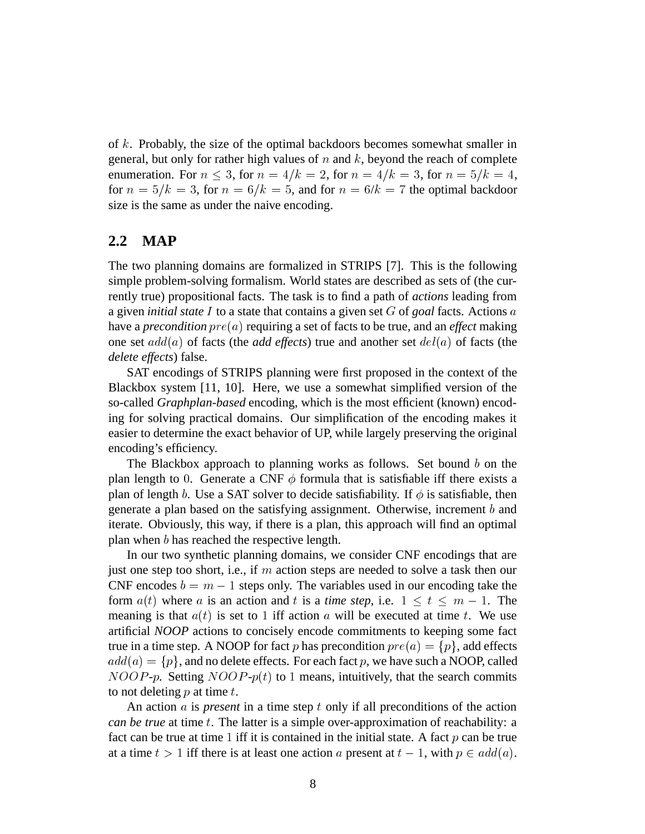of  $k$ . Probably, the size of the optimal backdoors becomes somewhat smaller in general, but only for rather high values of  $n$  and  $k$ , beyond the reach of complete enumeration. For  $n \leq 3$ , for  $n = 4/k = 2$ , for  $n = 4/k = 3$ , for  $n = 5/k = 4$ , for  $n = 5/k = 3$ , for  $n = 6/k = 5$ , and for  $n = 6/k = 7$  the optimal backdoor size is the same as under the naive encoding.

## **2.2 MAP**

The two planning domains are formalized in STRIPS [7]. This is the following simple problem-solving formalism. World states are described as sets of (the currently true) propositional facts. The task is to find a path of *actions* leading from a given *initial state*  $I$  to a state that contains a given set  $G$  of goal facts. Actions  $a$ have a *precondition*  $pre(a)$  requiring a set of facts to be true, and an *effect* making one set  $add(a)$  of facts (the *add effects*) true and another set  $del(a)$  of facts (the *delete effects*) false.

SAT encodings of STRIPS planning were first proposed in the context of the Blackbox system [11, 10]. Here, we use a somewhat simplified version of the so-called *Graphplan-based* encoding, which is the most efficient (known) encoding for solving practical domains. Our simplification of the encoding makes it easier to determine the exact behavior of UP, while largely preserving the original encoding's efficiency.

The Blackbox approach to planning works as follows. Set bound  $b$  on the plan length to 0. Generate a CNF  $\phi$  formula that is satisfiable iff there exists a plan of length b. Use a SAT solver to decide satisfiability. If  $\phi$  is satisfiable, then generate a plan based on the satisfying assignment. Otherwise, increment  $b$  and iterate. Obviously, this way, if there is a plan, this approach will find an optimal plan when  $b$  has reached the respective length.

In our two synthetic planning domains, we consider CNF encodings that are just one step too short, i.e., if  $m$  action steps are needed to solve a task then our CNF encodes  $b = m - 1$  steps only. The variables used in our encoding take the form  $a(t)$  where a is an action and t is a time step, i.e.  $1 \le t \le m - 1$ . The meaning is that  $a(t)$  is set to 1 iff action a will be executed at time t. We use artificial *NOOP* actions to concisely encode commitments to keeping some fact true in a time step. A NOOP for fact p has precondition  $pre(a) = \{p\}$ , add effects  $add(a)=\{p\},$  and no delete effects. For each fact  $p,$  we have such a NOOP, called  $NOOP-p$ . Setting  $NOOP-p(t)$  to 1 means, intuitively, that the search commits to not deleting  $p$  at time  $t$ .

An action  $\alpha$  is *present* in a time step  $t$  only if all preconditions of the action *can be true* at time t. The latter is a simple over-approximation of reachability: a fact can be true at time 1 iff it is contained in the initial state. A fact  $p$  can be true at a time  $t > 1$  iff there is at least one action a present at  $t - 1$ , with  $p \in add(a)$ .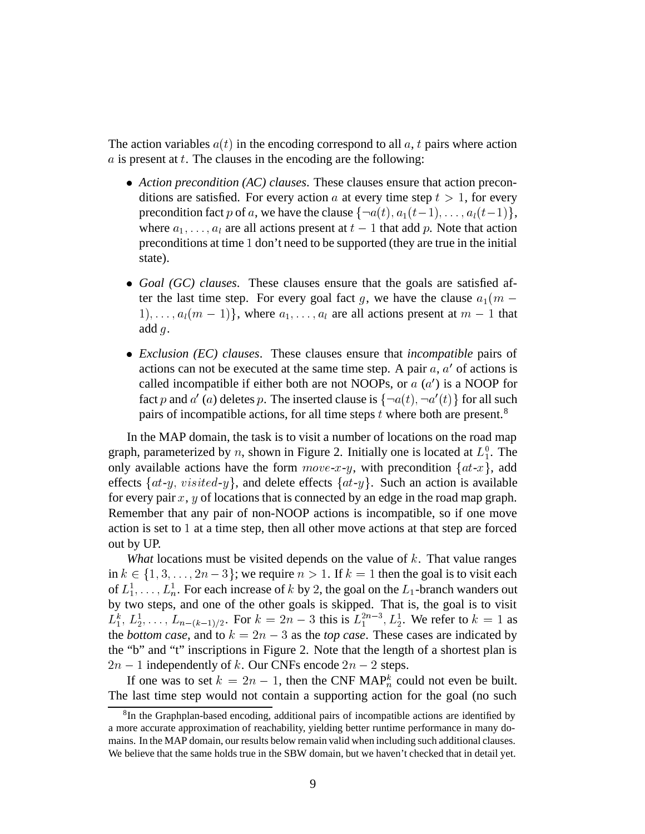The action variables  $a(t)$  in the encoding correspond to all a, t pairs where action  $\alpha$  is present at  $t$ . The clauses in the encoding are the following:

- *Action precondition (AC) clauses*. These clauses ensure that action preconditions are satisfied. For every action a at every time step  $t > 1$ , for every precondition fact p of a, we have the clause  $\{\neg a(t), a_1(t-1), \dots, a_l(t-1)\},\$ where  $a_1, \ldots, a_l$  are all actions present at  $t-1$  that add p. Note that action preconditions at time 1 don't need to be supported (they are true in the initial state).
- *Goal (GC) clauses*. These clauses ensure that the goals are satisfied after the last time step. For every goal fact g, we have the clause  $a_1(m 1), \ldots, a_l(m-1) \},$  where  $a_1, \ldots, a_l$  are all actions present at  $m-1$  that add  $q$ .
- *Exclusion (EC) clauses*. These clauses ensure that *incompatible* pairs of actions can not be executed at the same time step. A pair  $a, a'$  of actions is called incompatible if either both are not NOOPs, or  $a(a')$  is a NOOP for fact p and  $a'(a)$  deletes p. The inserted clause is  $\{\neg a(t), \neg a'(t)\}$  for all such pairs of incompatible actions, for all time steps  $t$  where both are present.<sup>8</sup>

In the MAP domain, the task is to visit a number of locations on the road map graph, parameterized by *n*, shown in Figure 2. Initially one is located at  $L_1^0$ . The only available actions have the form  $move-x-y$ , with precondition  $\{at-x\}$ , add effects  $\{at-y, visited-y\}$ , and delete effects  $\{at-y\}$ . Such an action is available for every pair  $x$ ,  $y$  of locations that is connected by an edge in the road map graph. Remember that any pair of non-NOOP actions is incompatible, so if one move action is set to  $1$  at a time step, then all other move actions at that step are forced out by UP.

*What* locations must be visited depends on the value of  $k$ . That value ranges in  $k \in \{1, 3, \ldots, 2n-3\}$ ; we require  $n > 1$ . If  $k = 1$  then the goal is to visit each of  $L_1^1, \ldots, L_n^1$ . For each increase of k by 2, the goal on the  $L_1$ -branch wanders out by two steps, and one of the other goals is skipped. That is, the goal is to visit  $L_1^k, L_2^1, \ldots, L_{n-(k-1)/2}$ . For  $k = 2n-3$  this is  $L_1^{2n-3}, L_2^1$ . We refer to  $k = 1$  as the *bottom case*, and to  $k = 2n - 3$  as the *top case*. These cases are indicated by the "b" and "t" inscriptions in Figure 2. Note that the length of a shortest plan is  $2n - 1$  independently of k. Our CNFs encode  $2n - 2$  steps.

If one was to set  $k = 2n - 1$ , then the CNF MAP<sup>k</sup> could not even be built. The last time step would not contain a supporting action for the goal (no such

<sup>&</sup>lt;sup>8</sup>In the Graphplan-based encoding, additional pairs of incompatible actions are identified by a more accurate approximation of reachability, yielding better runtime performance in many domains. In the MAP domain, our results below remain valid when including such additional clauses. We believe that the same holds true in the SBW domain, but we haven't checked that in detail yet.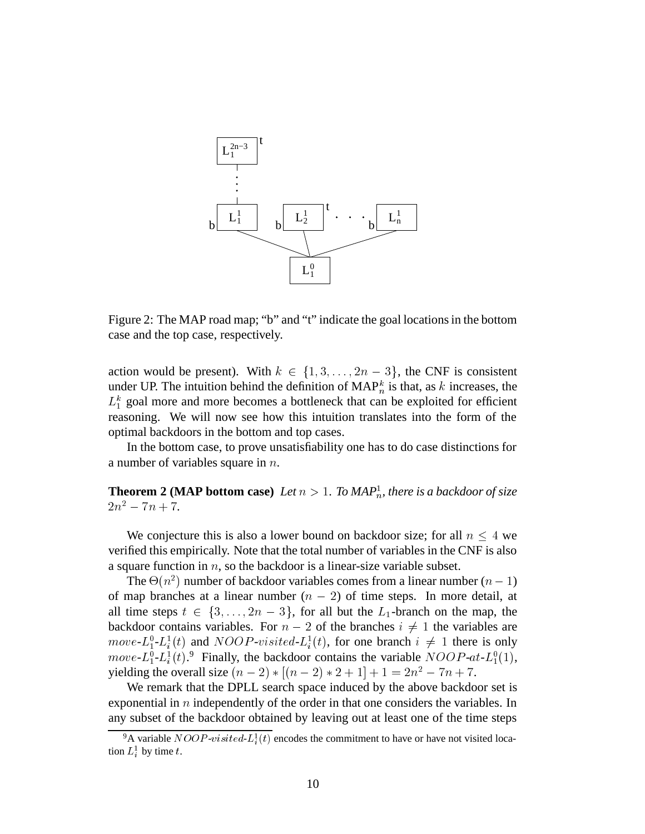

Figure 2: The MAP road map; "b" and "t" indicate the goal locations in the bottom case and the top case, respectively.

action would be present). With  $k \in \{1, 3, ..., 2n-3\}$ , the CNF is consistent under UP. The intuition behind the definition of  $\text{MAP}_n^k$  is that, as k increases, the  $L_1^k$  goal more and more becomes a bottleneck that can be exploited for efficient reasoning. We will now see how this intuition translates into the form of the optimal backdoors in the bottom and top cases.

In the bottom case, to prove unsatisfiability one has to do case distinctions for a number of variables square in  $n$ .

**Theorem 2 (MAP bottom case)** Let  $n > 1$ . To MAP<sup>1</sup><sub>n</sub>, there is a backdoor of size  $2n^2 - 7n + 7.$ 

We conjecture this is also a lower bound on backdoor size; for all  $n \leq 4$  we verified this empirically. Note that the total number of variables in the CNF is also a square function in  $n$ , so the backdoor is a linear-size variable subset.

The  $\Theta(n^2)$  number of backdoor variables comes from a linear number  $(n - 1)$ of map branches at a linear number  $(n - 2)$  of time steps. In more detail, at all time steps  $t \in \{3, \ldots, 2n-3\}$ , for all but the  $L_1$ -branch on the map, the backdoor contains variables. For  $n - 2$  of the branches  $i \neq 1$  the variables are *move*- $L_1^0$ - $L_i^1(t)$  and *NOOP*-visited- $L_i^1(t)$ , for one branch  $i \neq 1$  there is only *move-L*<sup>0</sup><sub>1</sub>-L<sub>1</sub><sup>1</sup>(*t*).<sup>9</sup> Finally, the backdoor contains the variable  $NOOP$ -a*t*-L<sup>0</sup><sub>1</sub>(1), yielding the overall size  $(n - 2) * [(n - 2) * 2 + 1] + 1 = 2n^2 - 7n + 7$ .

We remark that the DPLL search space induced by the above backdoor set is exponential in  $n$  independently of the order in that one considers the variables. In any subset of the backdoor obtained by leaving out at least one of the time steps

<sup>&</sup>lt;sup>9</sup>A variable *NOOP-visited-L*<sup>1</sup><sub>i</sub> $(t)$  encodes the commitment to have or have not visited location  $L_i^1$  by time t.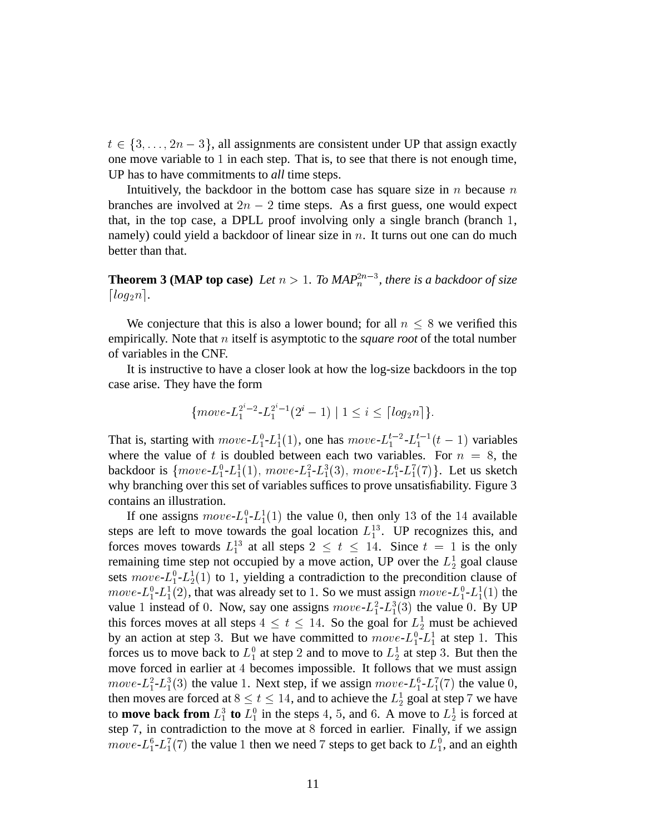$t \in \{3, \ldots, 2n-3\}$ , all assignments are consistent under UP that assign exactly one move variable to  $1$  in each step. That is, to see that there is not enough time, UP has to have commitments to *all* time steps.

Intuitively, the backdoor in the bottom case has square size in  $n$  because  $n$ branches are involved at  $2n - 2$  time steps. As a first guess, one would expect that, in the top case, a DPLL proof involving only a single branch (branch ., namely) could yield a backdoor of linear size in  $n$ . It turns out one can do much better than that.

**Theorem 3 (MAP top case)** Let  $n > 1$ . To MAP<sup>2 $n-3$ </sup>, there is a backdoor of size  $\lceil log_2 n \rceil$ .

We conjecture that this is also a lower bound; for all  $n \leq 8$  we verified this empirically. Note that *n* itself is asymptotic to the *square root* of the total number of variables in the CNF.

It is instructive to have a closer look at how the log-size backdoors in the top case arise. They have the form

$$
\{move L_1^{2^i-2} \cdot L_1^{2^i-1}(2^i-1) \mid 1 \le i \le \lceil log_2 n \rceil \}.
$$

That is, starting with  $move L_1^0 - L_1^1(1)$ , one has  $move L_1^{t-2} - L_1^{t-1}(t-1)$  variables where the value of t is doubled between each two variables. For  $n = 8$ , the backdoor is  ${move - L_1^0 - L_1^1(1), \ move - L_1^2 - L_1^3(3), \ move - L_1^6 - L_1^7(7)}$ . Let us sketch why branching over this set of variables suffices to prove unsatisfiability. Figure 3 contains an illustration.

If one assigns  $move L_1^0 - L_1^1(1)$  the value 0, then only 13 of the 14 available steps are left to move towards the goal location  $L_1^{13}$ . UP recognizes this, and forces moves towards  $L_1^{13}$  at all steps  $2 \le t \le 14$ . Since  $t = 1$  is the only remaining time step not occupied by a move action, UP over the  $L_2^1$  goal clause sets  $move$ - $L_1^0$ - $L_2^1(1)$  to 1, yielding a contradiction to the precondition clause of  $move L_1^0$ - $L_1^1(2)$ , that was already set to 1. So we must assign  $move$ - $L_1^0$ - $L_1^1(1)$  the value 1 instead of 0. Now, say one assigns  $move-L_1^2-L_1^3(3)$  the value 0. By UP this forces moves at all steps  $4 \le t \le 14$ . So the goal for  $L_2^1$  must be achieved by an action at step 3. But we have committed to  $move-L_1^0-L_1^1$  at step 1. This forces us to move back to  $L_1^0$  at step 2 and to move to  $L_2^1$  at step 3. But then the move forced in earlier at 4 becomes impossible. It follows that we must assign *move-* $L_1^2$ - $L_1^3(3)$  the value 1. Next step, if we assign *move-* $L_1^6$ - $L_1^7(7)$  the value 0, then moves are forced at  $8 \le t \le 14$ , and to achieve the  $L_2^1$  goal at step 7 we have to **move back from**  $L_1^3$  to  $L_1^0$  in the steps 4, 5, and 6. A move to  $L_2^1$  is forced at step 7, in contradiction to the move at 8 forced in earlier. Finally, if we assign *move-L*<sup>6</sup>- $L_1^6$ - $L_1^7(7)$  the value 1 then we need 7 steps to get back to  $L_1^0$ , and an eighth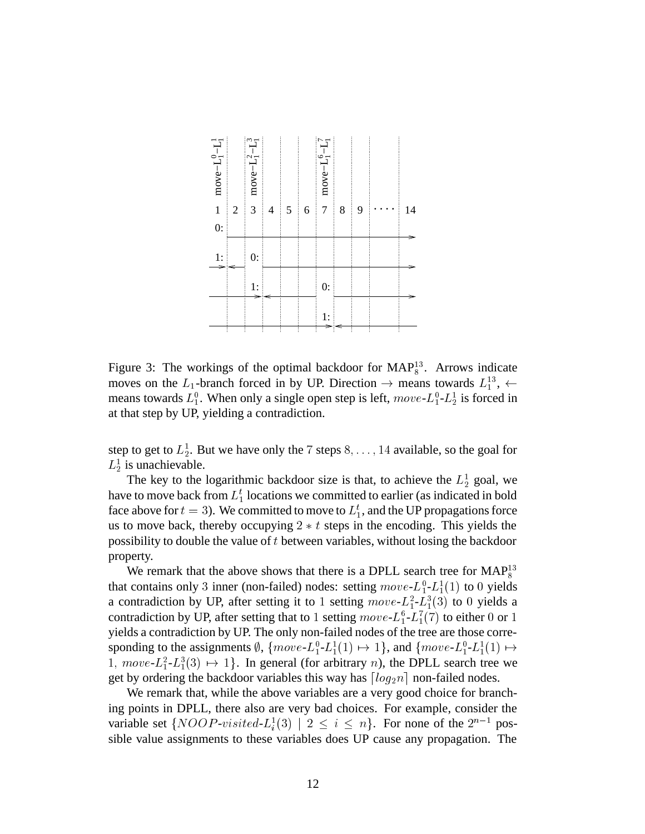

Figure 3: The workings of the optimal backdoor for  $\text{MAP}^{13}_{8}$ . Arrows indicate moves on the  $L_1$ -branch forced in by UP. Direction  $\rightarrow$  means towards  $L_1^{13}$ ,  $\leftarrow$ means towards  $L_1^0$ . When only a single open step is left,  $move$ - $L_1^0$ - $L_2^1$  is forced in at that step by UP, yielding a contradiction.

step to get to  $L_2^1$ . But we have only the 7 steps  $8, \ldots, 14$  available, so the goal for  $L_2^1$  is unachievable.

The key to the logarithmic backdoor size is that, to achieve the  $L_2^1$  goal, we have to move back from  $L_1^t$  locations we committed to earlier (as indicated in bold face above for  $t = 3$ ). We committed to move to  $L_1^t$ , and the UP propagations force us to move back, thereby occupying  $2 * t$  steps in the encoding. This yields the possibility to double the value of  $t$  between variables, without losing the backdoor property.

We remark that the above shows that there is a DPLL search tree for  $MAP<sub>8</sub><sup>13</sup>$ that contains only 3 inner (non-failed) nodes: setting  $move - L_1^0 - L_1^1(1)$  to 0 yields a contradiction by UP, after setting it to 1 setting  $move L_1^2 - L_1^3(3)$  to 0 yields a contradiction by UP, after setting that to 1 setting  $move\text{-}L_1^6$  - $L_1^7(7)$  to either 0 or 1 yields a contradiction by UP. The only non-failed nodes of the tree are those corresponding to the assignments  $\emptyset$ ,  $\{move-L_1^0-L_1^1(1) \mapsto 1\}$ , and  $\{move-L_1^0-L_1^1(1) \mapsto$  $1, move-L_1^2-L_1^3(3) \mapsto 1$ . In general (for arbitrary *n*), the DPLL search tree we get by ordering the backdoor variables this way has  $\lceil log_2 n \rceil$  non-failed nodes.

We remark that, while the above variables are a very good choice for branching points in DPLL, there also are very bad choices. For example, consider the variable set  $\{NOOP\text{-}visited-L_i^1(3) \mid 2 \leq i \leq n\}$ . For none of the  $2^{n-1}$  possible value assignments to these variables does UP cause any propagation. The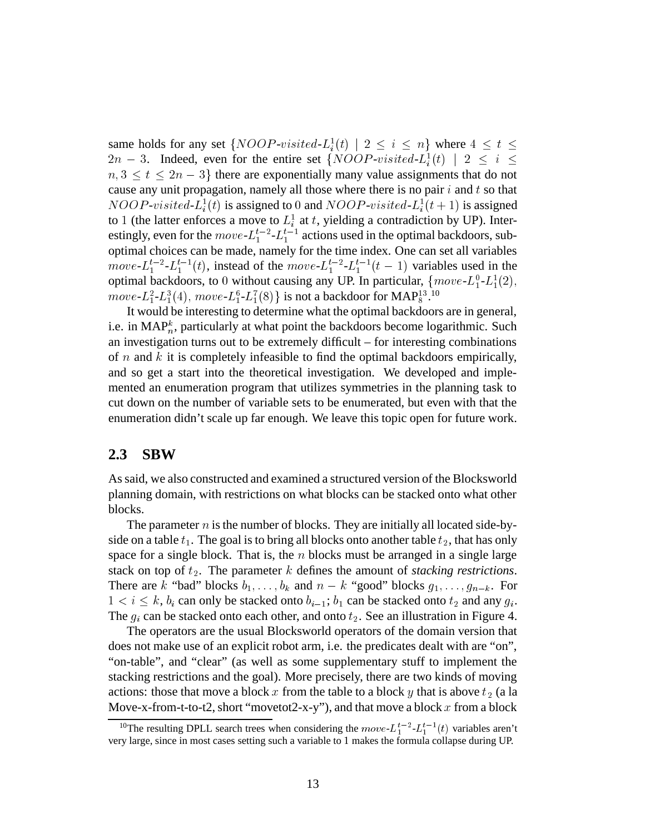same holds for any set  $\{NOOP-visited-L_i^1(t) \mid 2 \le i \le n\}$  where  $4 \le t \le$  $2n-3$ . Indeed, even for the entire set  $\{NOOP\text{-}visited\text{-}L_i^1(t) \mid 2 \leq i \leq 1\}$  $n, 3 \le t \le 2n-3$  there are exponentially many value assignments that do not cause any unit propagation, namely all those where there is no pair  $i$  and  $t$  so that  $NOOP-visited-L_i^1(t)$  is assigned to 0 and  $NOOP-visited-L_i^1(t+1)$  is assigned to 1 (the latter enforces a move to  $L_i^1$  at t, yielding a contradiction by UP). Interestingly, even for the  $move$ - $L_1^{t-2}$ - $L_1^{t-1}$  actions used in the optimal backdoors, suboptimal choices can be made, namely for the time index. One can set all variables *move*- $L_1^{t-2}$ - $L_1^{t-1}(t)$ , instead of the *move*- $L_1^{t-2}$ - $L_1^{t-1}(t-1)$  variables used in the optimal backdoors, to 0 without causing any UP. In particular,  ${move - L_1^0 - L_1^1(2)}$ ,  $move$ - $L_1^2$ - $L_1^3(4)$ ,  $move$ - $L_1^6$ - $L_1^7(8)$ } is not a backdoor for MAP $_8^{13}$ .10

It would be interesting to determine what the optimal backdoors are in general, i.e. in MAP<sub>n</sub>, particularly at what point the backdoors become logarithmic. Such an investigation turns out to be extremely difficult – for interesting combinations of  $n$  and  $k$  it is completely infeasible to find the optimal backdoors empirically, and so get a start into the theoretical investigation. We developed and implemented an enumeration program that utilizes symmetries in the planning task to cut down on the number of variable sets to be enumerated, but even with that the enumeration didn't scale up far enough. We leave this topic open for future work.

## **2.3 SBW**

As said, we also constructed and examined a structured version of the Blocksworld planning domain, with restrictions on what blocks can be stacked onto what other blocks.

The parameter  $n$  is the number of blocks. They are initially all located side-byside on a table  $t_1$ . The goal is to bring all blocks onto another table  $t_2$ , that has only space for a single block. That is, the  $n$  blocks must be arranged in a single large stack on top of  $t_2$ . The parameter  $k$  defines the amount of *stacking restrictions*. There are k "bad" blocks  $b_1, \ldots, b_k$  and  $n - k$  "good" blocks  $g_1, \ldots, g_{n-k}$ . For  $1 < i \leq k$ ,  $b_i$  can only be stacked onto  $b_{i-1}$ ;  $b_1$  can be stacked onto  $t_2$  and any  $g_i$ . The  $g_i$  can be stacked onto each other, and onto  $t_2$ . See an illustration in Figure 4.

The operators are the usual Blocksworld operators of the domain version that does not make use of an explicit robot arm, i.e. the predicates dealt with are "on", "on-table", and "clear" (as well as some supplementary stuff to implement the stacking restrictions and the goal). More precisely, there are two kinds of moving actions: those that move a block x from the table to a block y that is above  $t_2$  (a la Move-x-from-t-to-t2, short "movetot2-x-y"), and that move a block  $x$  from a block

<sup>&</sup>lt;sup>10</sup>The resulting DPLL search trees when considering the  $move \text{-} L_1^{t-2} \text{-} L_1^{t-1}(t)$  variables aren't very large, since in most cases setting such a variable to 1 makes the formula collapse during UP.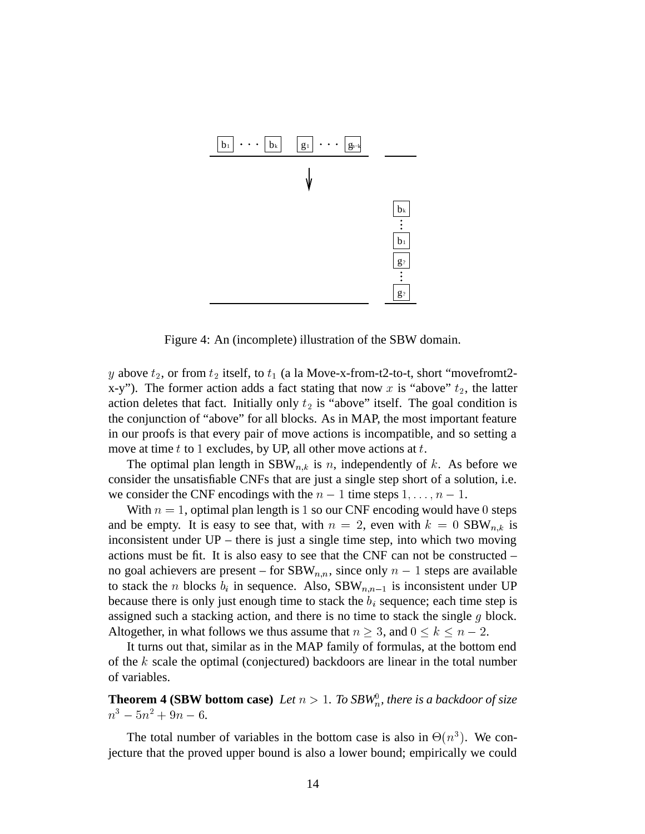

Figure 4: An (incomplete) illustration of the SBW domain.

y above  $t_2$ , or from  $t_2$  itself, to  $t_1$  (a la Move-x-from-t2-to-t, short "movefromt2x-y"). The former action adds a fact stating that now x is "above"  $t_2$ , the latter action deletes that fact. Initially only  $t_2$  is "above" itself. The goal condition is the conjunction of "above" for all blocks. As in MAP, the most important feature in our proofs is that every pair of move actions is incompatible, and so setting a move at time  $t$  to 1 excludes, by UP, all other move actions at  $t$ .

The optimal plan length in  $SBW_{n,k}$  is n, independently of k. As before we consider the unsatisfiable CNFs that are just a single step short of a solution, i.e. we consider the CNF encodings with the  $n-1$  time steps  $1, \ldots, n-1$ .

With  $n = 1$ , optimal plan length is 1 so our CNF encoding would have 0 steps and be empty. It is easy to see that, with  $n = 2$ , even with  $k = 0$  SBW<sub>n,k</sub> is inconsistent under UP – there is just a single time step, into which two moving actions must be fit. It is also easy to see that the CNF can not be constructed – no goal achievers are present – for  $SBW_{n,n}$ , since only  $n-1$  steps are available to stack the *n* blocks  $b_i$  in sequence. Also, SBW<sub>n,n-1</sub> is inconsistent under UP because there is only just enough time to stack the  $b_i$  sequence; each time step is assigned such a stacking action, and there is no time to stack the single  $g$  block. Altogether, in what follows we thus assume that  $n \geq 3$ , and  $0 \leq k \leq n-2$ .

It turns out that, similar as in the MAP family of formulas, at the bottom end of the  $k$  scale the optimal (conjectured) backdoors are linear in the total number of variables.

**Theorem 4 (SBW bottom case)** *Let*  $n > 1$ *. To SBW*<sub>n</sub>*, there is a backdoor of size*  $n^3 - 5n^2 + 9n - 6$ 

The total number of variables in the bottom case is also in  $\Theta(n^3)$ . We conjecture that the proved upper bound is also a lower bound; empirically we could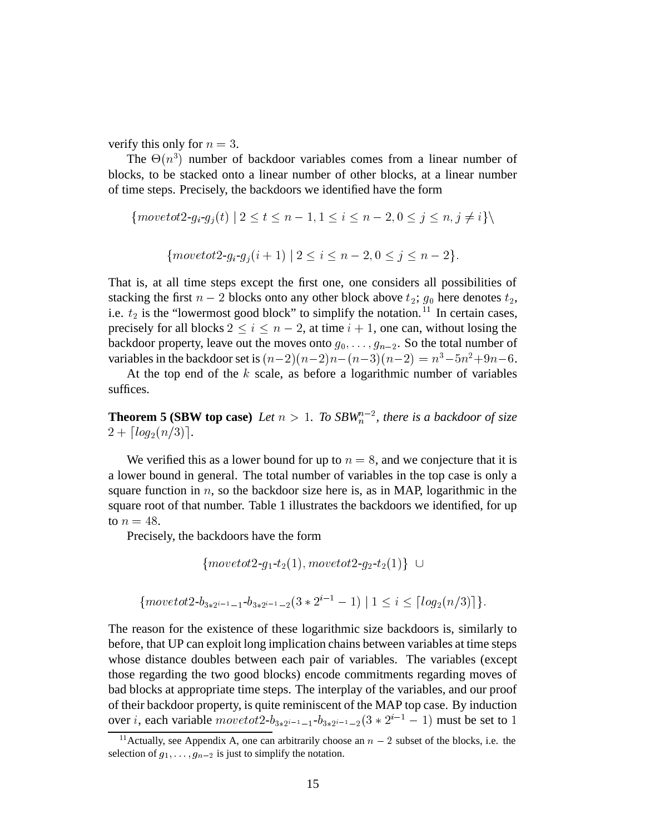verify this only for  $n = 3$ .

The  $\Theta(n^3)$  number of backdoor variables comes from a linear number of blocks, to be stacked onto a linear number of other blocks, at a linear number of time steps. Precisely, the backdoors we identified have the form

$$
\{move\text{tot2-}g_i \text{-}g_j(t) \mid 2 \le t \le n-1, 1 \le i \le n-2, 0 \le j \le n, j \ne i\} \setminus
$$

$$
\{move\text{tot2-}g_i \text{-}g_j(i+1) \mid 2 \le i \le n-2, 0 \le j \le n-2\}.
$$

That is, at all time steps except the first one, one considers all possibilities of stacking the first  $n-2$  blocks onto any other block above  $t_2$ ;  $g_0$  here denotes  $t_2$ , i.e.  $t_2$  is the "lowermost good block" to simplify the notation.<sup>11</sup> In certain cases, precisely for all blocks  $2 \le i \le n-2$ , at time  $i+1$ , one can, without losing the backdoor property, leave out the moves onto  $g_0, \ldots, g_{n-2}$ . So the total number of variables in the backdoor set is  $(n-2)(n-2)n-(n-3)(n-2) = n^3-5n^2+9n-6$ .

At the top end of the  $k$  scale, as before a logarithmic number of variables suffices.

**Theorem 5 (SBW top case)** Let  $n > 1$ . To SBW<sub>n</sub><sup>n-2</sup>, there is a backdoor of size  $2 + \lceil log_2(n/3) \rceil$ .

We verified this as a lower bound for up to  $n = 8$ , and we conjecture that it is a lower bound in general. The total number of variables in the top case is only a square function in  $n$ , so the backdoor size here is, as in MAP, logarithmic in the square root of that number. Table 1 illustrates the backdoors we identified, for up to  $n = 48$ .

Precisely, the backdoors have the form

$$
\{move tot2-g_1-t_2(1), move tot2-g_2-t_2(1)\} \cup \\
$$

$$
\{move to t2-b_{3*2^{i-1}-1}-b_{3*2^{i-1}-2}(3*2^{i-1}-1) | 1 \leq i \leq \lceil log_2(n/3) \rceil \}.
$$

The reason for the existence of these logarithmic size backdoors is, similarly to before, that UP can exploit long implication chains between variables at time steps whose distance doubles between each pair of variables. The variables (except those regarding the two good blocks) encode commitments regarding moves of bad blocks at appropriate time steps. The interplay of the variables, and our proof of their backdoor property, is quite reminiscent of the MAP top case. By induction over *i*, each variable  $movetot2-b_{3*2^{i-1}-1}-b_{3*2^{i-1}-2}(3*2^{i-1}-1)$  must be set to 1

<sup>&</sup>lt;sup>11</sup> Actually, see Appendix A, one can arbitrarily choose an  $n-2$  subset of the blocks, i.e. the selection of  $g_1, \ldots, g_{n-2}$  is just to simplify the notation.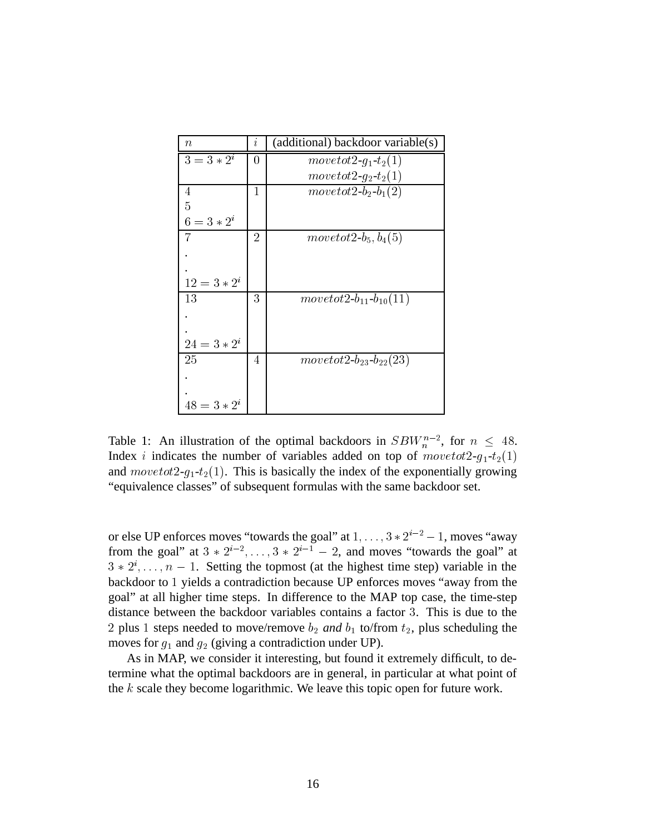| $\boldsymbol{n}$ | İ.             | (additional) backdoor variable(s) |
|------------------|----------------|-----------------------------------|
| $3 = 3 * 2^i$    | 0              | $move tot2 - g_1 - t_2(1)$        |
|                  |                | $move tot2-g_2-t_2(1)$            |
| 4                | 1              | $move tot2-b_2-b_1(2)$            |
| 5                |                |                                   |
| $6 = 3 * 2^i$    |                |                                   |
| 7                | $\overline{2}$ | move to $t2-b_5, b_4(5)$          |
|                  |                |                                   |
|                  |                |                                   |
| $12 = 3 * 2^i$   |                |                                   |
| 13               | 3              | $move tot2-b_{11}-b_{10}(11)$     |
|                  |                |                                   |
|                  |                |                                   |
| $24 = 3 * 2^i$   |                |                                   |
| 25               | 4              | $move tot2-b_{23}-b_{22}(23)$     |
|                  |                |                                   |
|                  |                |                                   |
| $48 = 3 * 2^i$   |                |                                   |

Table 1: An illustration of the optimal backdoors in  $SBW_n^{n-2}$ , for  $n \leq 48$ . Index *i* indicates the number of variables added on top of  $move tot2-g_1-t_2(1)$ and  $movetot2-g_1-t_2(1)$ . This is basically the index of the exponentially growing "equivalence classes" of subsequent formulas with the same backdoor set.

or else UP enforces moves "towards the goal" at  $1, \ldots, 3 * 2^{i-2} - 1$ , moves "away from the goal" at  $3 * 2^{i-2}, \ldots, 3 * 2^{i-1} - 2$ , and moves "towards the goal" at  $3 * 2^{i}, \ldots, n - 1$ . Setting the topmost (at the highest time step) variable in the backdoor to 1 yields a contradiction because UP enforces moves "away from the goal" at all higher time steps. In difference to the MAP top case, the time-step distance between the backdoor variables contains a factor <sup>8</sup>. This is due to the 2 plus 1 steps needed to move/remove  $b_2$  and  $b_1$  to/from  $t_2$ , plus scheduling the moves for  $g_1$  and  $g_2$  (giving a contradiction under UP).

As in MAP, we consider it interesting, but found it extremely difficult, to determine what the optimal backdoors are in general, in particular at what point of the  $k$  scale they become logarithmic. We leave this topic open for future work.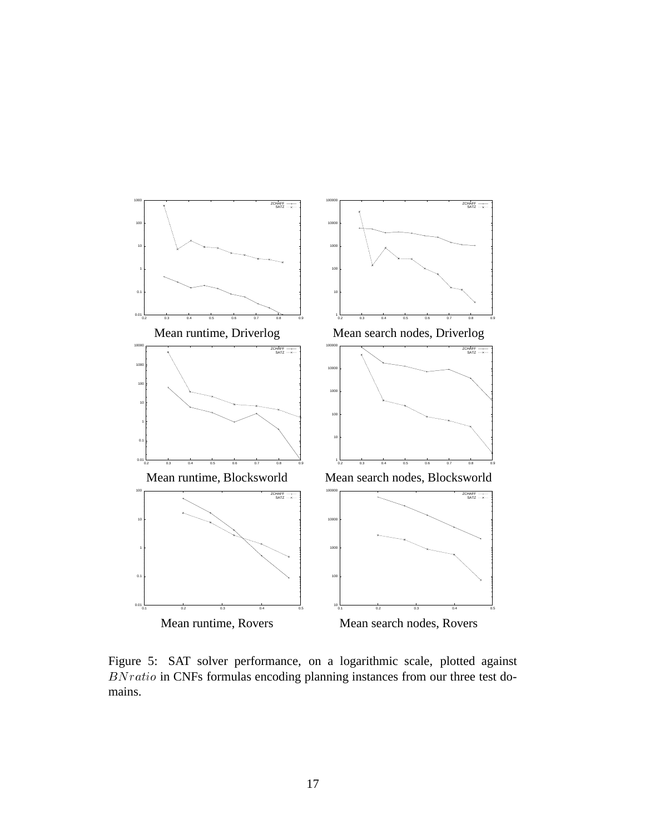

Figure 5: SAT solver performance, on a logarithmic scale, plotted against  $BNratio$  in CNFs formulas encoding planning instances from our three test domains.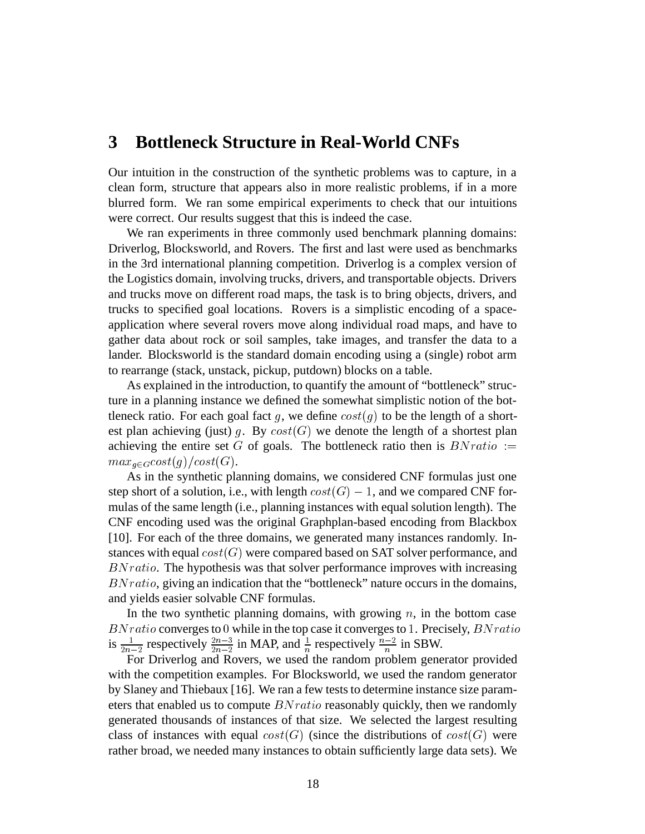# **3 Bottleneck Structure in Real-World CNFs**

Our intuition in the construction of the synthetic problems was to capture, in a clean form, structure that appears also in more realistic problems, if in a more blurred form. We ran some empirical experiments to check that our intuitions were correct. Our results suggest that this is indeed the case.

We ran experiments in three commonly used benchmark planning domains: Driverlog, Blocksworld, and Rovers. The first and last were used as benchmarks in the 3rd international planning competition. Driverlog is a complex version of the Logistics domain, involving trucks, drivers, and transportable objects. Drivers and trucks move on different road maps, the task is to bring objects, drivers, and trucks to specified goal locations. Rovers is a simplistic encoding of a spaceapplication where several rovers move along individual road maps, and have to gather data about rock or soil samples, take images, and transfer the data to a lander. Blocksworld is the standard domain encoding using a (single) robot arm to rearrange (stack, unstack, pickup, putdown) blocks on a table.

As explained in the introduction, to quantify the amount of "bottleneck" structure in a planning instance we defined the somewhat simplistic notion of the bottleneck ratio. For each goal fact g, we define  $cost(g)$  to be the length of a shortest plan achieving (just) g. By  $cost(G)$  we denote the length of a shortest plan achieving the entire set  $G$  of goals. The bottleneck ratio then is  $B N ratio :=$  $max_{q \in G} cost(g) / cost(G).$ 

As in the synthetic planning domains, we considered CNF formulas just one step short of a solution, i.e., with length  $cost(G) - 1$ , and we compared CNF formulas of the same length (i.e., planning instances with equal solution length). The CNF encoding used was the original Graphplan-based encoding from Blackbox [10]. For each of the three domains, we generated many instances randomly. Instances with equal  $cost(G)$  were compared based on SAT solver performance, and  $BNratio$ . The hypothesis was that solver performance improves with increasing  $BN ratio$ , giving an indication that the "bottleneck" nature occurs in the domains, and yields easier solvable CNF formulas.

In the two synthetic planning domains, with growing  $n$ , in the bottom case  $BN ratio$  converges to 0 while in the top case it converges to 1. Precisely,  $BN ratio$ is  $\frac{1}{2n-2}$  respectively  $\frac{2n-3}{2n-2}$  in MAP, and  $\frac{1}{n}$  respectively  $\frac{n-2}{n}$  in SBW.

For Driverlog and Rovers, we used the random problem generator provided with the competition examples. For Blocksworld, we used the random generator by Slaney and Thiebaux [16]. We ran a few tests to determine instance size parameters that enabled us to compute  $BNratio$  reasonably quickly, then we randomly generated thousands of instances of that size. We selected the largest resulting class of instances with equal  $cost(G)$  (since the distributions of  $cost(G)$  were rather broad, we needed many instances to obtain sufficiently large data sets). We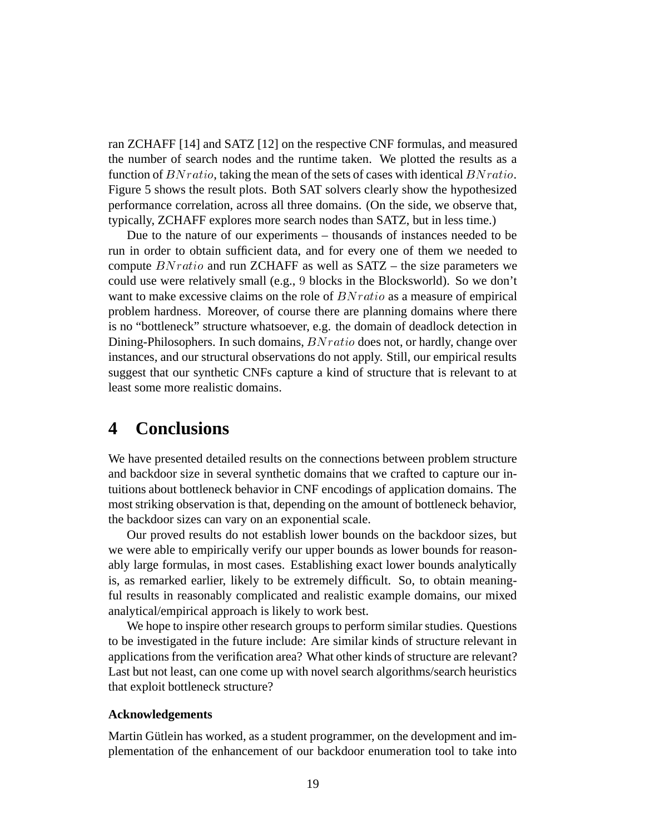ran ZCHAFF [14] and SATZ [12] on the respective CNF formulas, and measured the number of search nodes and the runtime taken. We plotted the results as a function of  $BN ratio$ , taking the mean of the sets of cases with identical  $BN ratio$ . Figure 5 shows the result plots. Both SAT solvers clearly show the hypothesized performance correlation, across all three domains. (On the side, we observe that, typically, ZCHAFF explores more search nodes than SATZ, but in less time.)

Due to the nature of our experiments – thousands of instances needed to be run in order to obtain sufficient data, and for every one of them we needed to compute  $BN ratio$  and run ZCHAFF as well as SATZ – the size parameters we could use were relatively small (e.g., <sup>7</sup> blocks in the Blocksworld). So we don't want to make excessive claims on the role of  $B N ratio$  as a measure of empirical problem hardness. Moreover, of course there are planning domains where there is no "bottleneck" structure whatsoever, e.g. the domain of deadlock detection in Dining-Philosophers. In such domains,  $B N ratio$  does not, or hardly, change over instances, and our structural observations do not apply. Still, our empirical results suggest that our synthetic CNFs capture a kind of structure that is relevant to at least some more realistic domains.

# **4 Conclusions**

We have presented detailed results on the connections between problem structure and backdoor size in several synthetic domains that we crafted to capture our intuitions about bottleneck behavior in CNF encodings of application domains. The most striking observation is that, depending on the amount of bottleneck behavior, the backdoor sizes can vary on an exponential scale.

Our proved results do not establish lower bounds on the backdoor sizes, but we were able to empirically verify our upper bounds as lower bounds for reasonably large formulas, in most cases. Establishing exact lower bounds analytically is, as remarked earlier, likely to be extremely difficult. So, to obtain meaningful results in reasonably complicated and realistic example domains, our mixed analytical/empirical approach is likely to work best.

We hope to inspire other research groups to perform similar studies. Questions to be investigated in the future include: Are similar kinds of structure relevant in applications from the verification area? What other kinds of structure are relevant? Last but not least, can one come up with novel search algorithms/search heuristics that exploit bottleneck structure?

### **Acknowledgements**

Martin Gütlein has worked, as a student programmer, on the development and implementation of the enhancement of our backdoor enumeration tool to take into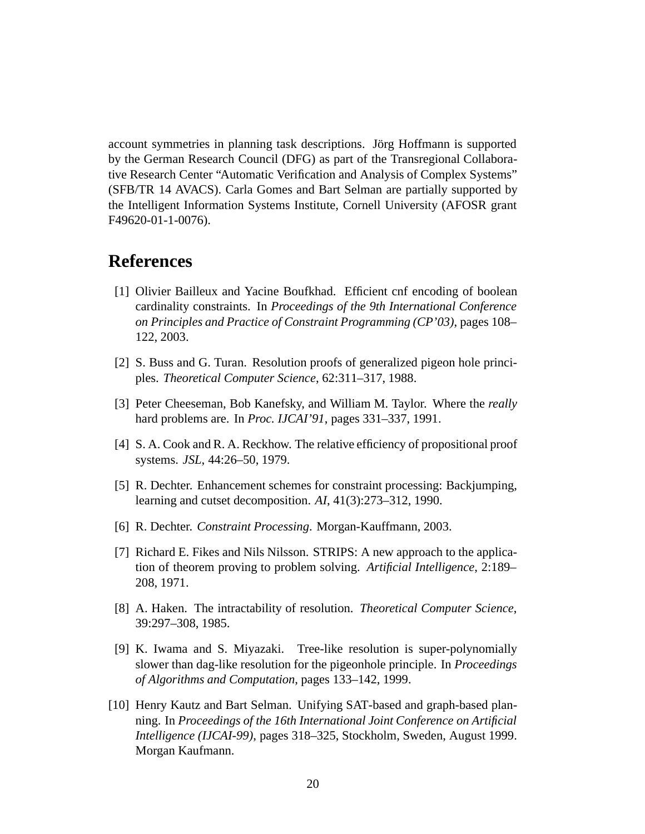account symmetries in planning task descriptions. Jörg Hoffmann is supported by the German Research Council (DFG) as part of the Transregional Collaborative Research Center "Automatic Verification and Analysis of Complex Systems" (SFB/TR 14 AVACS). Carla Gomes and Bart Selman are partially supported by the Intelligent Information Systems Institute, Cornell University (AFOSR grant F49620-01-1-0076).

# **References**

- [1] Olivier Bailleux and Yacine Boufkhad. Efficient cnf encoding of boolean cardinality constraints. In *Proceedings of the 9th International Conference on Principles and Practice of Constraint Programming (CP'03)*, pages 108– 122, 2003.
- [2] S. Buss and G. Turan. Resolution proofs of generalized pigeon hole principles. *Theoretical Computer Science*, 62:311–317, 1988.
- [3] Peter Cheeseman, Bob Kanefsky, and William M. Taylor. Where the *really* hard problems are. In *Proc. IJCAI'91*, pages 331–337, 1991.
- [4] S. A. Cook and R. A. Reckhow. The relative efficiency of propositional proof systems. *JSL*, 44:26–50, 1979.
- [5] R. Dechter. Enhancement schemes for constraint processing: Backjumping, learning and cutset decomposition. *AI*, 41(3):273–312, 1990.
- [6] R. Dechter. *Constraint Processing*. Morgan-Kauffmann, 2003.
- [7] Richard E. Fikes and Nils Nilsson. STRIPS: A new approach to the application of theorem proving to problem solving. *Artificial Intelligence*, 2:189– 208, 1971.
- [8] A. Haken. The intractability of resolution. *Theoretical Computer Science*, 39:297–308, 1985.
- [9] K. Iwama and S. Miyazaki. Tree-like resolution is super-polynomially slower than dag-like resolution for the pigeonhole principle. In *Proceedings of Algorithms and Computation*, pages 133–142, 1999.
- [10] Henry Kautz and Bart Selman. Unifying SAT-based and graph-based planning. In *Proceedings of the 16th International Joint Conference on Artificial Intelligence (IJCAI-99)*, pages 318–325, Stockholm, Sweden, August 1999. Morgan Kaufmann.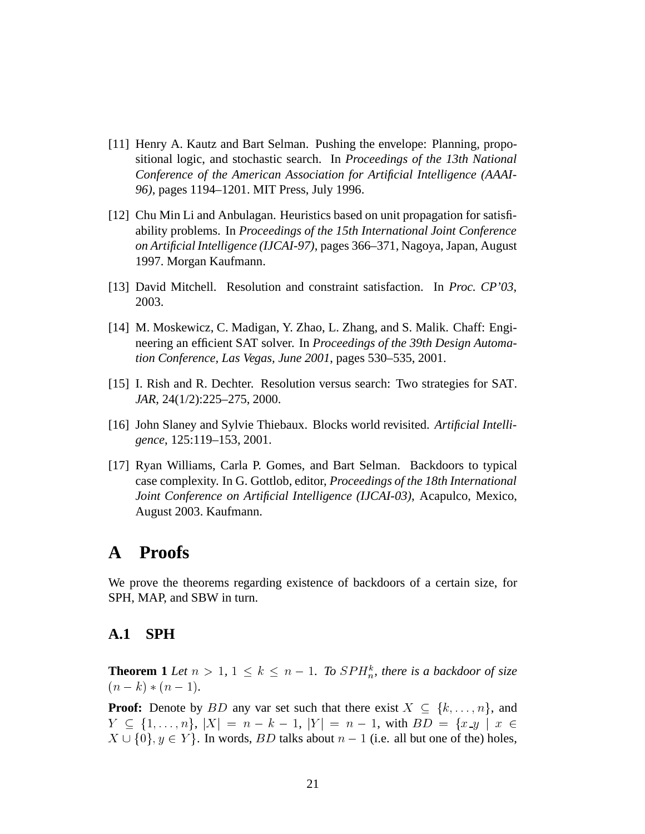- [11] Henry A. Kautz and Bart Selman. Pushing the envelope: Planning, propositional logic, and stochastic search. In *Proceedings of the 13th National Conference of the American Association for Artificial Intelligence (AAAI-96)*, pages 1194–1201. MIT Press, July 1996.
- [12] Chu Min Li and Anbulagan. Heuristics based on unit propagation for satisfiability problems. In *Proceedings of the 15th International Joint Conference on Artificial Intelligence (IJCAI-97)*, pages 366–371, Nagoya, Japan, August 1997. Morgan Kaufmann.
- [13] David Mitchell. Resolution and constraint satisfaction. In *Proc. CP'03*, 2003.
- [14] M. Moskewicz, C. Madigan, Y. Zhao, L. Zhang, and S. Malik. Chaff: Engineering an efficient SAT solver. In *Proceedings of the 39th Design Automation Conference, Las Vegas, June 2001*, pages 530–535, 2001.
- [15] I. Rish and R. Dechter. Resolution versus search: Two strategies for SAT. *JAR*, 24(1/2):225–275, 2000.
- [16] John Slaney and Sylvie Thiebaux. Blocks world revisited. *Artificial Intelligence*, 125:119–153, 2001.
- [17] Ryan Williams, Carla P. Gomes, and Bart Selman. Backdoors to typical case complexity. In G. Gottlob, editor, *Proceedings of the 18th International Joint Conference on Artificial Intelligence (IJCAI-03)*, Acapulco, Mexico, August 2003. Kaufmann.

# **A Proofs**

We prove the theorems regarding existence of backdoors of a certain size, for SPH, MAP, and SBW in turn.

### **A.1 SPH**

**Theorem 1** Let  $n > 1$ ,  $1 \leq k \leq n - 1$ . To  $SPH_n^k$ , there is a backdoor of size  $(n - k) * (n - 1).$ 

**Proof:** Denote by BD any var set such that there exist  $X \subseteq \{k, ..., n\}$ , and  $Y \subseteq \{1, \ldots, n\}, |X| = n - k - 1, |Y| = n - 1$ , with  $BD = \{x \_y \mid x \in \mathbb{R}\}$   $X \cup \{0\}, y \in Y\}$ . In words, *BD* talks about  $n - 1$  (i.e. all but one of the) holes,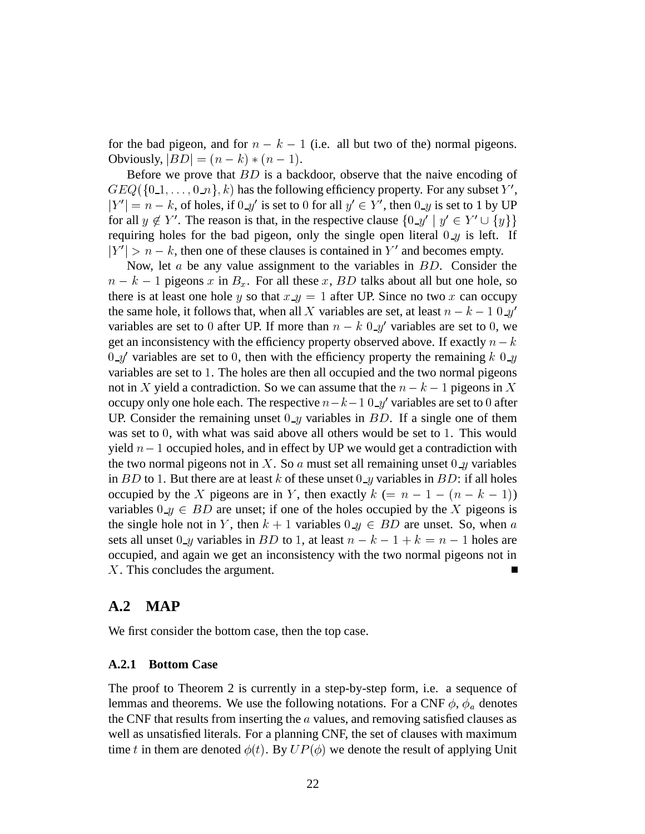for the bad pigeon, and for  $n - k - 1$  (i.e. all but two of the) normal pigeons. Obviously,  $|BD| = (n - k) * (n - 1)$ .

Before we prove that  $BD$  is a backdoor, observe that the naive encoding of  $GEQ({0,1,\ldots,0,n},k)$  has the following efficiency property. For any subset  $Y',$  $|Y'| = n - k$ , of holes, if  $0 \mathcal{A}$  is set to 0 for all  $y' \in Y'$ , then  $0 \mathcal{A}$  is set to 1 by UP for all  $y \notin Y'$ . The reason is that, in the respective clause  $\{0 \_\mathcal{Y} \mid y' \in Y' \cup \{y\} \}$ requiring holes for the bad pigeon, only the single open literal  $0-y$  is left. If  $|Y'| > n - k$ , then one of these clauses is contained in Y' and becomes empty.

Now, let  $a$  be any value assignment to the variables in  $BD$ . Consider the  $n - k - 1$  pigeons x in  $B_x$ . For all these x, BD talks about all but one hole, so there is at least one hole y so that  $x \, y = 1$  after UP. Since no two x can occupy the same hole, it follows that, when all X variables are set, at least  $n - k - 10y'$ variables are set to 0 after UP. If more than  $n - k$  0  $y'$  variables are set to 0, we get an inconsistency with the efficiency property observed above. If exactly  $n - k$  $0-y'$  variables are set to 0, then with the efficiency property the remaining  $k$  0  $-y$ variables are set to 1. The holes are then all occupied and the two normal pigeons not in X yield a contradiction. So we can assume that the  $n - k - 1$  pigeons in X occupy only one hole each. The respective  $n - k - 1 \, 0 \, \mathcal{A}$  variables are set to 0 after UP. Consider the remaining unset  $0-y$  variables in  $BD$ . If a single one of them was set to  $0$ , with what was said above all others would be set to  $1$ . This would yield  $n - 1$  occupied holes, and in effect by UP we would get a contradiction with the two normal pigeons not in X. So a must set all remaining unset  $0 \mathcal{A}$  variables in  $BD$  to 1. But there are at least  $k$  of these unset  $0 \text{--} y$  variables in  $BD$ : if all holes occupied by the X pigeons are in Y, then exactly  $k (= n - 1 - (n - k - 1))$ variables  $0 \text{--} y \in BD$  are unset; if one of the holes occupied by the X pigeons is the single hole not in Y, then  $k + 1$  variables  $0 \mathcal{L} \in BD$  are unset. So, when a sets all unset  $0_y$  variables in BD to 1, at least  $n - k - 1 + k = n - 1$  holes are occupied, and again we get an inconsistency with the two normal pigeons not in X. This concludes the argument.

### **A.2 MAP**

We first consider the bottom case, then the top case.

#### **A.2.1 Bottom Case**

The proof to Theorem 2 is currently in a step-by-step form, i.e. a sequence of lemmas and theorems. We use the following notations. For a CNF  $\phi$ ,  $\phi_a$  denotes the CNF that results from inserting the  $\alpha$  values, and removing satisfied clauses as well as unsatisfied literals. For a planning CNF, the set of clauses with maximum time t in them are denoted  $\phi(t)$ . By  $UP(\phi)$  we denote the result of applying Unit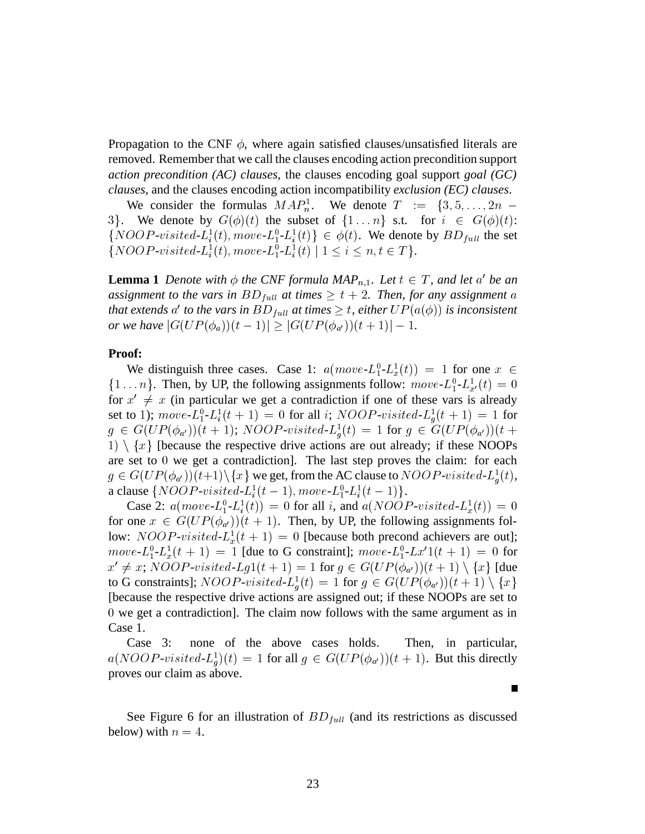Propagation to the CNF  $\phi$ , where again satisfied clauses/unsatisfied literals are removed. Remember that we call the clauses encoding action precondition support *action precondition (AC) clauses*, the clauses encoding goal support *goal (GC) clauses*, and the clauses encoding action incompatibility *exclusion (EC) clauses*.

We consider the formulas  $MAP_n^1$ . We denote  $T := \{3, 5, \ldots, 2n - \}$ 3. We denote by  $G(\phi)(t)$  the subset of  $\{1 \dots n\}$  s.t. for  $i \in G(\phi)(t)$ :  $\{NOOP-visited-L_i^1(t), move-L_i^0-L_i^1(t)\}\in \phi(t)$ . We denote by  $BD_{full}$  the set  $\{NOOP-visited-L_i^1(t), move-L_1^0-L_i^1(t) | 1 \le i \le n, t \in T\}.$ 

**Lemma 1** Denote with  $\phi$  the CNF formula MAP<sub>n,1</sub>. Let  $t \in T$ , and let  $a'$  be an assignment to the vars in  $BD_{full}$  at times  $\geq t+2$ . Then, for any assignment a that extends  $a'$  to the vars in  $BD_{full}$  at times  $\geq$   $t$ , either  $UP(a(\phi))$  is inconsistent *or we have*  $|G(UP(\phi_a))(t-1)| \geq |G(UP(\phi_{a'}))(t+1)| - 1$ .

#### **Proof:**

We distinguish three cases. Case 1:  $a(move \t- L_1^0 - L_x^1(t)) = 1$  for one  $x \in$  $\{1 \dots n\}$ . Then, by UP, the following assignments follow:  $move$ - $L_1^0$ - $L_{x'}^1(t) = 0$ for  $x' \neq x$  (in particular we get a contradiction if one of these vars is already set to 1);  $move L_1^0 - L_i^1(t + 1) = 0$  for all i;  $NOOP-visited-L_i^1(t + 1) = 1$  for  $g \in G(UP(\phi_{a'}))(t+1)$ ;  $NOOP-visited-L_a^1(t) = 1$  for  $g \in G(UP(\phi_{a'}))(t+1)$  $|1\rangle \setminus \{x\}$  [because the respective drive actions are out already; if these NOOPs are set to  $0$  we get a contradiction]. The last step proves the claim: for each  $g \in G(UP(\phi_{a'}))(t+1) \setminus \{x\}$  we get, from the AC clause to  $NOOP\text{-}visited\text{-}L_a^1(t)$ , a clause  $\{NOOP\text{-}visited\text{-}L_i^1(t-1), move\text{-}L_i^0(L-1)\}.$ 

Case 2:  $a(move - L_1^0 - L_i^1(t)) = 0$  for all i, and  $a(NOOP - visited - L_x^1(t)) = 0$ for one  $x \in G(UP(\phi_{a'}))(t+1)$ . Then, by UP, the following assignments follow:  $NOOP-visited-L_x^1(t + 1) = 0$  [because both precond achievers are out];  $move L_1^0 - L_x^1(t + 1) = 1$  [due to G constraint];  $move L_1^0 - L_x^1(t + 1) = 0$  for  $x' \neq x$ ; NOOP-visited-Lg1(t + 1) = 1 for  $g \in G(UP(\phi_{a'}))(t+1) \setminus \{x\}$  [due to G constraints];  $NOOP\text{-}visited\text{-}L_a^1(t) = 1$  for  $g \in G(UP(\phi_{a'}))(t+1) \setminus \{x\}$  $\blacksquare$  . The contract of the contract of the contract of the contract of the contract of the contract of the contract of the contract of the contract of the contract of the contract of the contract of the contract of the [because the respective drive actions are assigned out; if these NOOPs are set to 0 we get a contradiction]. The claim now follows with the same argument as in Case 1.

Case 3: none of the above cases holds. Then, in particular,  $a(NOOP-visited-L_q^1)(t) = 1$  for all  $g \in G(UP(\phi_{a'}))(t+1)$ . But this directly proves our claim as above.

 $\blacksquare$ 

See Figure 6 for an illustration of  $BD_{full}$  (and its restrictions as discussed below) with  $n = 4$ .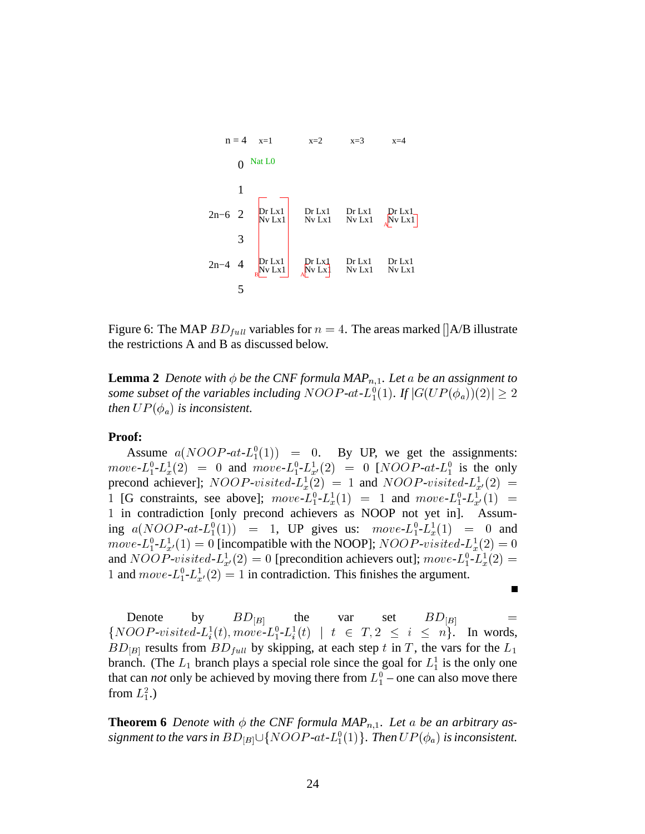

Figure 6: The MAP  $BD_{full}$  variables for  $n = 4$ . The areas marked []A/B illustrate the restrictions A and B as discussed below.

**Lemma 2** *Denote with*  $\phi$  *be the CNF formula MAP*<sub>n,1</sub>*. Let* a *be an assignment to* some subset of the variables including  $NOOP$ -at- $L_1^0(1)$ . If  $|G(UP(\phi_a))(2)| \geq 2$ *then*  $UP(\phi_a)$  *is inconsistent.* 

#### **Proof:**

Assume  $a(NOOP-at-L_1^0(1)) = 0$ . By UP, we get the assignments:  $move L_1^0 - L_x^1(2) = 0$  and  $move L_1^0 - L_x^1(2) = 0$  [*NOOP-at-L*<sub>1</sub><sup>0</sup> is the only precond achiever];  $NOOP-visited-L_x^1(2) = 1$  and  $NOOP-visited-L_{x'}^1(2) =$ 1 [G constraints, see above];  $move L_1^0 - L_x^1(1) = 1$  and  $move L_1^0 - L_x^1(1) =$ . in contradiction [only precond achievers as NOOP not yet in]. Assuming  $a(NOOP-at-L_1^0(1)) = 1$ , UP gives us:  $move-L_1^0-L_x^1(1) = 0$  and  $move L_1^0 - L_{x'}^1(1) = 0$  [incompatible with the NOOP];  $NOOP\text{-}visited\text{-}L_x^1(2) = 0$ and  $NOOP\text{-}visited\text{-}L_x^1(2) = 0$  [precondition achievers out];  $move\text{-}L_1^0\text{-}L_x^1(2) =$ 1 and  $move$ - $L_1^0$ - $L_{x'}^1(2) = 1$  in contradiction. This finishes the argument.

Denote by  $BD_{|B|}$  the var set  $BD_{|B|}$  =  $\{NOOP-visited-L_i^1(t), move-L_i^0-L_i^1(t) \mid t \in T, 2 \leq i \leq n\}.$  In words,  $BD_{[B]}$  results from  $BD_{full}$  by skipping, at each step t in T, the vars for the  $L_1$ branch. (The  $L_1$  branch plays a special role since the goal for  $L_1^1$  is the only one that can *not* only be achieved by moving there from  $L_1^0$  – one can also move there from  $L_1^2$ .)

 $\blacksquare$ 

**Theorem 6** Denote with  $\phi$  the CNF formula MAP<sub>n,1</sub>. Let a be an arbitrary assignment to the vars in  $BD_{|B|}\cup\{NOOP\text{-}at\text{-}L_1^0(1)\}.$  Then  $UP(\phi_a)$  is inconsistent.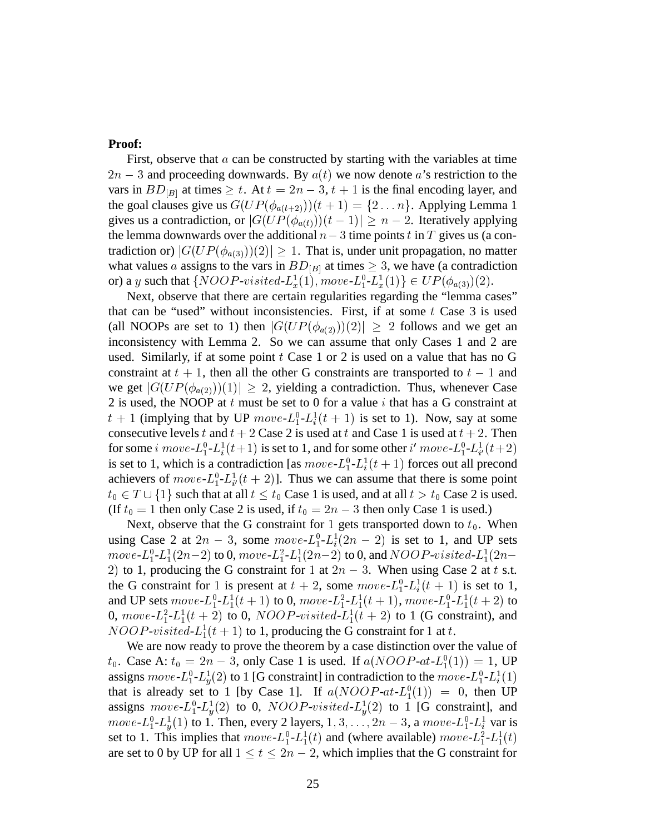### **Proof:**

First, observe that  $\alpha$  can be constructed by starting with the variables at time  $2n - 3$  and proceeding downwards. By  $a(t)$  we now denote a's restriction to the vars in  $BD_{|B|}$  at times  $\geq t$ . At  $t = 2n - 3$ ,  $t + 1$  is the final encoding layer, and the goal clauses give us  $G(UP(\phi_{a(t+2)}))(t+1) = \{2 \dots n\}$ . Applying Lemma 1 gives us a contradiction, or  $|G(UP(\phi_{a(t)}))(t-1)| \geq n-2$ . Iteratively applying the lemma downwards over the additional  $n-3$  time points t in T gives us (a contradiction or)  $|G(UP(\phi_{a(3)}))|2\rangle \geq 1$ . That is, under unit propagation, no matter what values a assigns to the vars in  $BD_{|B|}$  at times  $\geq 3$ , we have (a contradiction or) a y such that  $\{NOOP\text{-}visited-L_x^1(1), move-L_1^0-L_x^1(1)\}\in UP(\phi_{a(3)})(2)$ .

Next, observe that there are certain regularities regarding the "lemma cases" that can be "used" without inconsistencies. First, if at some  $t$  Case 3 is used (all NOOPs are set to 1) then  $|G(UP(\phi_{a(2)}))(2)| \geq 2$  follows and we get an inconsistency with Lemma 2. So we can assume that only Cases 1 and 2 are used. Similarly, if at some point  $t$  Case 1 or 2 is used on a value that has no G constraint at  $t + 1$ , then all the other G constraints are transported to  $t - 1$  and we get  $|G(UP(\phi_{a(2)}))(1)| \geq 2$ , yielding a contradiction. Thus, whenever Case 2 is used, the NOOP at  $t$  must be set to 0 for a value  $i$  that has a G constraint at  $t + 1$  (implying that by UP  $move L_1^0 - L_i^1(t + 1)$  is set to 1). Now, say at some consecutive levels t and  $t + 2$  Case 2 is used at t and Case 1 is used at  $t + 2$ . Then for some i  $move$ - $L_1^0$ - $L_i^1(t+1)$  is set to 1, and for some other i'  $move$ - $L_1^0$ - $L_{i'}^1(t+2)$ is set to 1, which is a contradiction [as  $move$ - $L_1^0$ - $L_i^1(t + 1)$  forces out all precond achievers of  $move$ - $L_1^0$ - $L_{i'}^1(t + 2)$ ]. Thus we can assume that there is some point  $t_0 \in T \cup \{1\}$  such that at all  $t \leq t_0$  Case 1 is used, and at all  $t > t_0$  Case 2 is used. (If  $t_0 = 1$  then only Case 2 is used, if  $t_0 = 2n - 3$  then only Case 1 is used.)

Next, observe that the G constraint for 1 gets transported down to  $t_0$ . When using Case 2 at  $2n-3$ , some  $move L_1^0 - L_i^1(2n-2)$  is set to 1, and UP sets  $move L_1^0 - L_1^1(2n-2)$  to 0,  $move - L_1^2 - L_1^1(2n-2)$  to 0, and  $NOOP-visited - L_1^1(2n-2)$ 2) to 1, producing the G constraint for 1 at  $2n-3$ . When using Case 2 at t s.t. the G constraint for 1 is present at  $t + 2$ , some  $move L_1^0 - L_i^1(t + 1)$  is set to 1, and UP sets  $move$ - $L_1^0$ - $L_1^1(t + 1)$  to 0,  $move$ - $L_1^2$ - $L_1^1(t + 1)$ ,  $move$ - $L_1^0$ - $L_1^1(t + 2)$  to 0,  $move L_1^2 - L_1^1(t + 2)$  to 0,  $NOOP-visited-L_1^1(t + 2)$  to 1 (G constraint), and  $NOOP-visited-L_1^1(t + 1)$  to 1, producing the G constraint for 1 at t.

We are now ready to prove the theorem by a case distinction over the value of  $t_0$ . Case A:  $t_0 = 2n - 3$ , only Case 1 is used. If  $a(NOOP-at-L_1^0(1)) = 1$ , UP assigns  $move$ - $L_1^0$ - $L_u^1(2)$  to 1 [G constraint] in contradiction to the  $move$ - $L_1^0$ - $L_u^1(1)$ that is already set to 1 [by Case 1]. If  $a(NOOP-at-L_1^0(1)) = 0$ , then UP assigns  $move$ - $L_1^0$ - $L_n^1(2)$  to 0,  $NOOP$ -visited- $L_n^1(2)$  to 1 [G constraint], and *move-* $L_1^0$ - $L_3^1(1)$  to 1. Then, every 2 layers, 1, 3, . . . , 2n – 3, a *move-* $L_1^0$ - $L_i^1$  var is set to 1. This implies that  $move L_1^0 - L_1^1(t)$  and (where available)  $move - L_1^2 - L_1^1(t)$ are set to 0 by UP for all  $1 \le t \le 2n-2$ , which implies that the G constraint for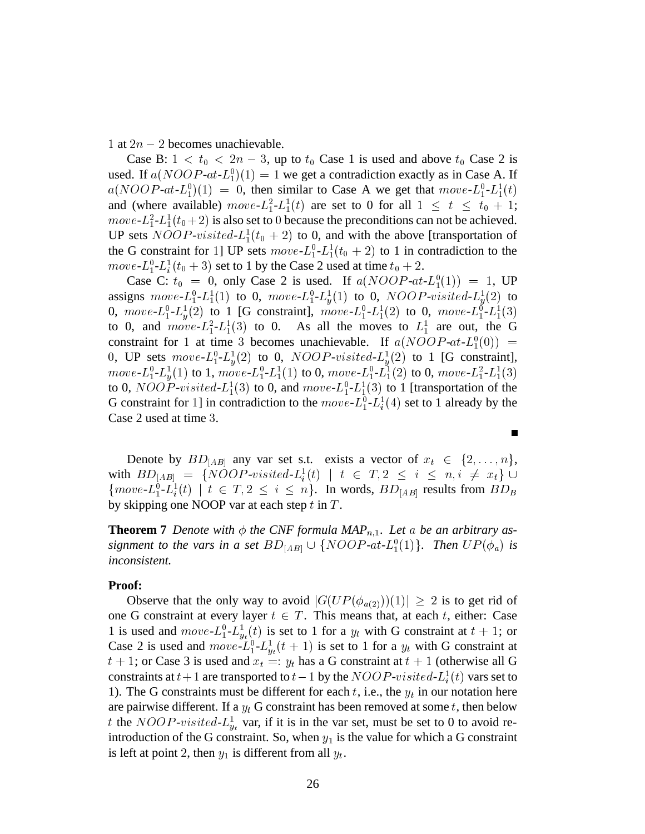1 at  $2n - 2$  becomes unachievable.

Case B:  $1 < t_0 < 2n - 3$ , up to  $t_0$  Case 1 is used and above  $t_0$  Case 2 is used. If  $a(NOOP-at-L_1^0)(1) = 1$  we get a contradiction exactly as in Case A. If  $a(NOOP-at-L_1^0)(1) = 0$ , then similar to Case A we get that  $move-L_1^0-L_1^1(t)$ and (where available)  $move L_1^2 - L_1^1(t)$  are set to 0 for all  $1 \le t \le t_0 + 1$ ;  $move L_1^2 - L_1^1(t_0 + 2)$  is also set to 0 because the preconditions can not be achieved. UP sets  $NOOP\text{-}visited-L<sub>1</sub><sup>1</sup>(t<sub>0</sub>+2)$  to 0, and with the above [transportation of the G constraint for 1] UP sets  $move$ - $L_1^0$ - $L_1^1$ ( $t_0 + 2$ ) to 1 in contradiction to the  $move L_1^0$ - $L_i^1(t_0 + 3)$  set to 1 by the Case 2 used at time  $t_0 + 2$ .

Case C:  $t_0 = 0$ , only Case 2 is used. If  $a(NOOP-at-L_1^0(1)) = 1$ , UP assigns  $move L_1^0$ - $L_1^1(1)$  to 0,  $move$ - $L_1^0$ - $L_y^1(1)$  to 0,  $NOOP$ -visited- $L_y^1(2)$  to 0,  $move L_1^0 - L_u^1(2)$  to 1 [G constraint],  $move L_1^0 - L_1^1(2)$  to 0,  $move L_1^0 - L_1^1(3)$ to 0, and  $move L_1^2 - L_1^1(3)$  to 0. As all the moves to  $L_1^1$  are out, the G constraint for 1 at time 3 becomes unachievable. If  $a(NOOP-at-L_1^0(0))$  = 0, UP sets  $move$ - $L_1^0$ - $L_u^1(2)$  to 0,  $NOOP$ - $visited$ - $L_u^1(2)$  to 1 [G constraint],  $move\text{-}L_1^0\text{-}L_u^1(1)$  to 1,  $move\text{-}L_1^0\text{-}L_1^1(1)$  to 0,  $move\text{-}L_1^0\text{-}L_1^1(2)$  to 0,  $move\text{-}L_1^2\text{-}L_1^1(3)$ to 0,  $NOOP\text{-}visited-L_1^1(3)$  to 0, and  $move-L_1^0-L_1^1(3)$  to 1 [transportation of the G constraint for 1] in contradiction to the  $move$ - $L_1^0$ - $L_i^1(4)$  set to 1 already by the Case 2 used at time 3.

Denote by  $BD_{[AB]}$  any var set s.t. exists a vector of  $x_t \in \{2, \ldots, n\}$ , with  $BD_{[AB]} = \{NOOP\text{-}visited-L_i^1(t) \mid t \in T, 2 \leq i \leq n, i \neq x_i\} \cup$  $\{move L_1^0 - L_i^1(t) \mid t \in T, 2 \leq i \leq n\}$ . In words,  $BD_{[AB]}$  results from  $BD_B$ by skipping one NOOP var at each step  $t$  in  $T$ .

**Theorem 7** Denote with  $\phi$  the CNF formula MAP<sub>n,1</sub>. Let a be an arbitrary assignment to the vars in a set  $BD_{[AB]} \cup \{NOOP-at-L_1^0(1)\}$ . Then  $UP(\phi_a)$  is *inconsistent.*

#### **Proof:**

Observe that the only way to avoid  $|G(UP(\phi_{a(2)}))(1)| \geq 2$  is to get rid of one G constraint at every layer  $t \in T$ . This means that, at each t, either: Case 1 is used and  $move$ - $L_1^0$ - $L_{y_t}^1(t)$  is set to 1 for a  $y_t$  with G constraint at  $t + 1$ ; or Case 2 is used and  $move L_1^0 - L_{y_t}^1(t + 1)$  is set to 1 for a  $y_t$  with G constraint at  $t + 1$ ; or Case 3 is used and  $x_t =: y_t$  has a G constraint at  $t + 1$  (otherwise all G constraints at  $t+1$  are transported to  $t-1$  by the  $NOOP\text{-}visited\text{-}L_i^1(t)$  vars set to 1). The G constraints must be different for each  $t$ , i.e., the  $y_t$  in our notation here are pairwise different. If a  $y_t$  G constraint has been removed at some t, then below t the  $NOOP\text{-}visited-L_{y_t}^1$  var, if it is in the var set, must be set to 0 to avoid reintroduction of the G constraint. So, when  $y_1$  is the value for which a G constraint is left at point 2, then  $y_1$  is different from all  $y_t$ .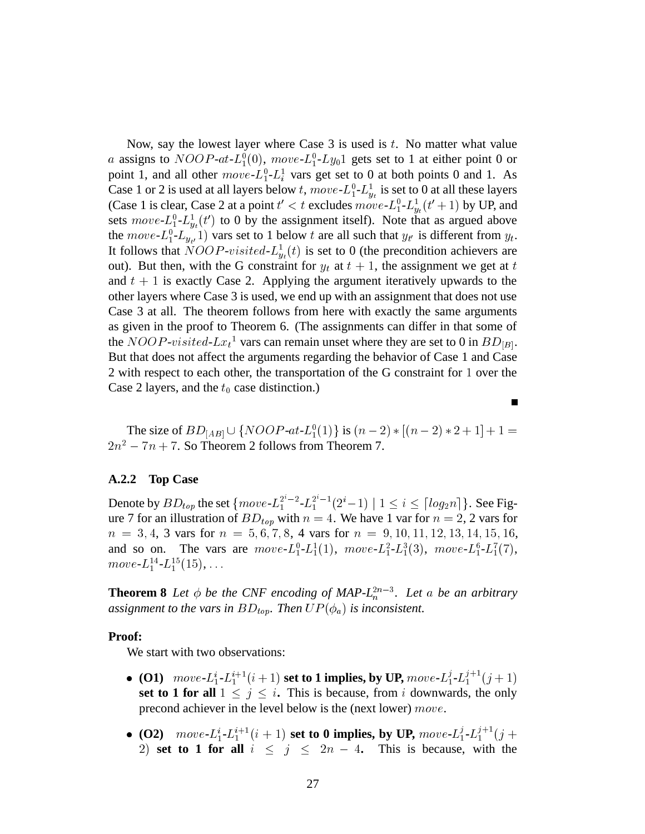Now, say the lowest layer where Case 3 is used is  $t$ . No matter what value *a* assigns to  $NOOP$ - $at$ - $L_1^0(0)$ ,  $move$ - $L_1^0$ - $Ly_01$  gets set to 1 at either point 0 or point 1, and all other  $move$ - $L_1^0$ - $L_i^1$  vars get set to 0 at both points 0 and 1. As Case 1 or 2 is used at all layers below t,  $move$ - $L_1^0$ - $L_{y_t}^1$  is set to 0 at all these layers (Case 1 is clear, Case 2 at a point  $t' < t$  excludes  $move$ - $L_1^0$ - $L_{y_t}^1(t'+1)$  by UP, and sets  $move$ - $L_1^0$ - $L_{y_t}^1(t')$  to 0 by the assignment itself). Note that as argued above the  $move$ - $L_1^0$ - $L_{y_{t'}}$  1) vars set to 1 below t are all such that  $y_{t'}$  is different from  $y_t$ . It follows that  $NOOP\text{-}visited\text{-}L_{y_t}^1(t)$  is set to 0 (the precondition achievers are out). But then, with the G constraint for  $y_t$  at  $t + 1$ , the assignment we get at t and  $t + 1$  is exactly Case 2. Applying the argument iteratively upwards to the other layers where Case 3 is used, we end up with an assignment that does not use Case 3 at all. The theorem follows from here with exactly the same arguments as given in the proof to Theorem 6. (The assignments can differ in that some of the  $NOOP-visited-Lx_t^1$  vars can remain unset where they are set to 0 in  $BD_{[B]}$ . But that does not affect the arguments regarding the behavior of Case 1 and Case 2 with respect to each other, the transportation of the G constraint for 1 over the Case 2 layers, and the  $t_0$  case distinction.)

The size of  $BD_{[AB]} \cup \{NOOP-at-L_1^0(1)\}\$ is  $(n-2)*(n-2)*2+1]+1=$  $2n^2 - 7n + 7$ . So Theorem 2 follows from Theorem 7.

Г

#### **A.2.2 Top Case**

Denote by  $BD_{top}$  the set  $\{move L_1^{2^i-2} - L_1^{2^i-1}(2^i-1) \mid 1 \le i \le \lceil log_2 n \rceil \}$ . See Figure 7 for an illustration of  $BD_{top}$  with  $n = 4$ . We have 1 var for  $n = 2, 2$  vars for  $n = 3, 4, 3$  vars for  $n = 5, 6, 7, 8, 4$  vars for  $n = 9, 10, 11, 12, 13, 14, 15, 16,$ and so on. The vars are  $move L_1^0 - L_1^1(1)$ ,  $move L_1^2 - L_1^3(3)$ ,  $move L_1^6 - L_1^7(7)$ ,  $move\text{-}L_1^{14}\text{-}L_1^{15}(15), \ldots$ 

**Theorem 8** Let  $\phi$  be the CNF encoding of MAP- $L_n^{2n-3}$ . Let a be an arbitrary assignment to the vars in  $BD_{top}$ . Then  $UP(\phi_a)$  is inconsistent.

#### **Proof:**

We start with two observations:

- **(O1)**  $move L_1^i L_1^{i+1} (i+1)$  set to 1 implies, by UP,  $move L_1^j L_1^{j+1} (j+1)$ **set to 1 for all**  $1 \leq j \leq i$ . This is because, from i downwards, the only precond achiever in the level below is the (next lower)  $move$ .
- **(O2)**  $move L_1^i L_1^{i+1} (i+1)$  set to 0 implies, by UP,  $move L_1^j L_1^{j+1} (j+1)$ 2) set to 1 for all  $i \leq j \leq 2n - 4$ . This is because, with the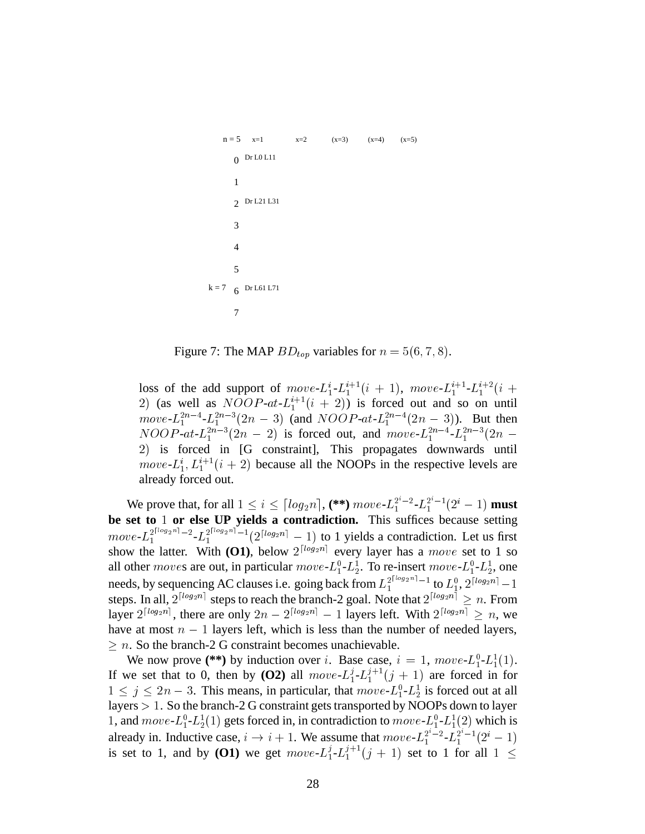```
k = 7 6 Dr L61 L71
     Dr L21 L31
2
     0 Dr L0 L11
     7
   n = 5 x=1 x=2 (x=3) (x=4) (x=5)5
     4
     3
     1
```
Figure 7: The MAP  $BD_{top}$  variables for  $n = 5(6, 7, 8)$ .

loss of the add support of  $move L_1^{i-1}L_1^{i+1}(i + 1)$ ,  $move L_1^{i+1}L_1^{i+2}(i + 1)$ 2) (as well as  $NOOP-at-L_1^{i+1}(i + 2)$ ) is forced out and so on until  $move L_1^{2n-4} - L_1^{2n-3}(2n-3)$  (and  $NOOP-at-L_1^{2n-4}(2n-3)$ ). But then  $NOOP-at-L_1^{2n-3}(2n-2)$  is forced out, and  $move-L_1^{2n-4}-L_1^{2n-3}(2n-$ <sup>32</sup> is forced in [G constraint], This propagates downwards until *move-L*<sup>i</sup><sub>1</sub>,  $L_1^{i+1}(i+2)$  because all the NOOPs in the respective levels are already forced out.

We prove that, for all  $1 \leq i \leq \lceil log_2 n \rceil$ ,  $(**)$   $move L_1^{2^i-2} \cdot L_1^{2^i-1}(2^i-1)$  must be set to 1 or else UP yields a contradiction. This suffices because setting  $move L_1^{2\lceil log_2 n \rceil - 2} - L_1^{2\lceil log_2 n \rceil - 1} (2^{\lceil log_2 n \rceil} - 1)$  to 1 yields a contradiction. Let us first show the latter. With (O1), below  $2^{\lfloor log_2 n \rfloor}$  every layer has a *move* set to 1 so all other *moves* are out, in particular  $move L_1^0 - L_2^1$ . To re-insert  $move L_1^0 - L_2^1$ , one needs, by sequencing AC clauses i.e. going back from  $L_1^{2^{1\log_2 n}-1}$  to  $L_1^0$ ,  $2^{\lfloor log_2 n \rfloor}-1$ steps. In all,  $2^{\lfloor log_2 n \rfloor}$  steps to reach the branch-2 goal. Note that  $2^{\lfloor log_2 n \rfloor} \geq n.$  From layer  $2^{\lfloor log_2 n \rfloor}$ , there are only  $2n - 2^{\lfloor log_2 n \rfloor} - 1$  layers left. With  $2^{\lfloor log_2 n \rfloor} \ge n$ , we have at most  $n - 1$  layers left, which is less than the number of needed layers,  $\geq n$ . So the branch-2 G constraint becomes unachievable.

We now prove (\*\*) by induction over i. Base case,  $i = 1$ ,  $move L_1^0 - L_1^1(1)$ . If we set that to 0, then by **(O2)** all  $move L_1^j - L_1^{j+1}(j + 1)$  are forced in for  $1 \leq j \leq 2n-3$ . This means, in particular, that  $move L_1^0 - L_2^1$  is forced out at all layers  $> 1$ . So the branch-2 G constraint gets transported by NOOPs down to layer 1, and  $move$ - $L_1^0$ - $L_2^1(1)$  gets forced in, in contradiction to  $move$ - $L_1^0$ - $L_1^1(2)$  which is already in. Inductive case,  $i \rightarrow i+1$ . We assume that  $move L_1^{2^i-2} - L_1^{2^i-1}(2^i-1)$ is set to 1, and by **(O1)** we get  $move L_1^j - L_1^{j+1} (j + 1)$  set to 1 for all  $1 \leq$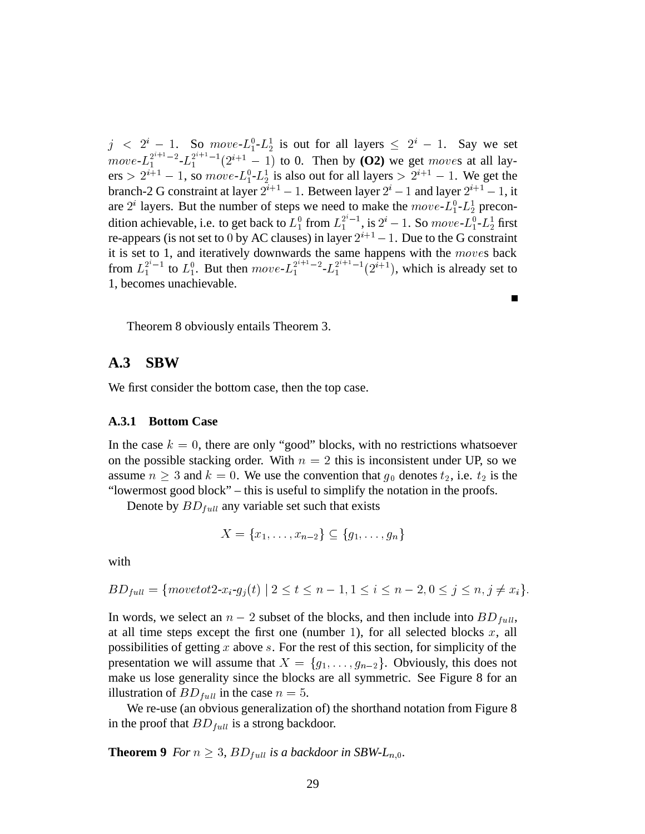$j \leq 2^{i} - 1$ . So  $move L_{1}^{0} - L_{2}^{1}$  is out for all layers  $\leq 2^{i} - 1$ . Say we set  $move L_1^{2^{n+1}-2} - L_1^{2^{n+1}-1}(2^{i+1}-1)$  to 0. Then by (O2) we get *moves* at all layers  $> 2^{i+1} - 1$ , so  $move L_1^0$ - $L_2^1$  is also out for all layers  $> 2^{i+1} - 1$ . We get the branch-2 G constraint at layer  $2^{i+1} - 1$ . Between layer  $2^i - 1$  and layer  $2^{i+1} - 1$ , it are  $2^i$  layers. But the number of steps we need to make the  $move L_1^0 - L_2^1$  precondition achievable, i.e. to get back to  $L_1^0$  from  $L_1^{2^*-1}$ , is  $2^i - 1$ . So  $move$ - $L_1^0$ - $L_2^1$  first re-appears (is not set to  $0$  by AC clauses) in layer  $2^{i+1} - 1$ . Due to the G constraint it is set to 1, and iteratively downwards the same happens with the  $moves$  back from  $L_1^{2^i-1}$  to  $L_1^0$ . But then  $move L_1^{2^{i+1}-2}$ - $L_1^{2^{i+1}-1}(2^{i+1})$ , which is already set to 1, becomes unachievable.

П

Theorem 8 obviously entails Theorem 3.

## **A.3 SBW**

We first consider the bottom case, then the top case.

#### **A.3.1 Bottom Case**

In the case  $k = 0$ , there are only "good" blocks, with no restrictions whatsoever on the possible stacking order. With  $n = 2$  this is inconsistent under UP, so we assume  $n \geq 3$  and  $k = 0$ . We use the convention that  $g_0$  denotes  $t_2$ , i.e.  $t_2$  is the "lowermost good block" – this is useful to simplify the notation in the proofs.

Denote by  $BD_{full}$  any variable set such that exists

$$
X = \{x_1, \ldots, x_{n-2}\} \subseteq \{g_1, \ldots, g_n\}
$$

with

$$
BD_{full} = \{move to t2-x_i-g_j(t) | 2 \le t \le n-1, 1 \le i \le n-2, 0 \le j \le n, j \ne x_i\}.
$$

In words, we select an  $n-2$  subset of the blocks, and then include into  $BD<sub>full</sub>$ , at all time steps except the first one (number 1), for all selected blocks  $x$ , all possibilities of getting  $x$  above  $s$ . For the rest of this section, for simplicity of the presentation we will assume that  $X = \{g_1, \ldots, g_{n-2}\}\$ . Obviously, this does not make us lose generality since the blocks are all symmetric. See Figure 8 for an illustration of  $BD_{full}$  in the case  $n = 5$ .

We re-use (an obvious generalization of) the shorthand notation from Figure 8 in the proof that  $BD_{full}$  is a strong backdoor.

**Theorem 9** *For*  $n \geq 3$ ,  $BD_{full}$  *is a backdoor in SBW-L*<sub>*n*,0</sub>.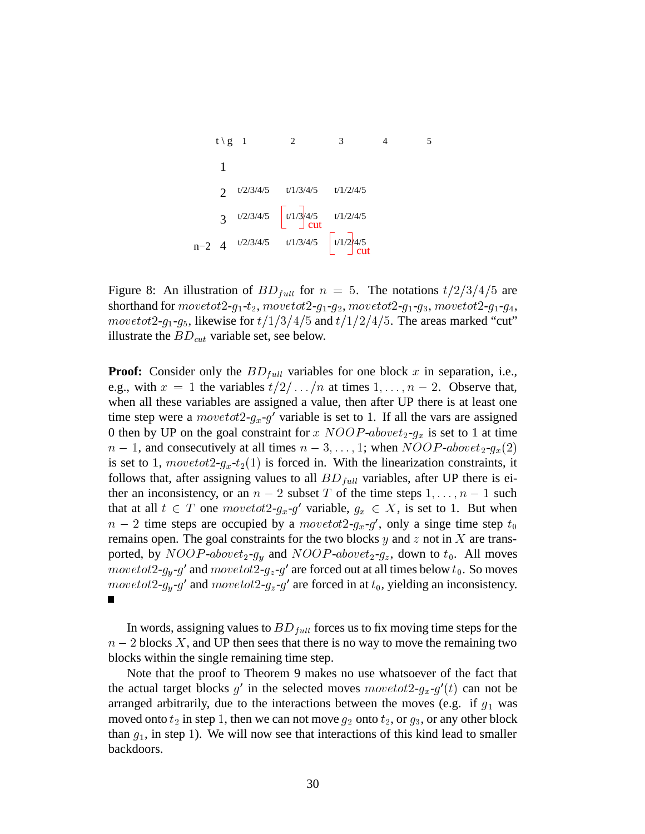

Figure 8: An illustration of  $BD_{full}$  for  $n = 5$ . The notations  $t/2/3/4/5$  are shorthand for  $move tot2-g_1-t_2, move tot2-g_1-g_2, move tot2-g_1-g_3, move tot2-g_1-g_4,$ movetot 2- $g_1$ - $g_5$ , likewise for  $t/1/3/4/5$  and  $t/1/2/4/5$ . The areas marked "cut" illustrate the  $BD_{cut}$  variable set, see below.

**Proof:** Consider only the  $BD_{full}$  variables for one block  $x$  in separation, i.e., e.g., with  $x = 1$  the variables  $t/2/\ldots/n$  at times  $1, \ldots, n-2$ . Observe that, when all these variables are assigned a value, then after UP there is at least one time step were a  $\textit{movetot2-g_x-g}'$  variable is set to 1. If all the vars are assigned 0 then by UP on the goal constraint for  $x \ NOOP\t - above \ t_2 \t-1$  is set to 1 at time  $n-1$ , and consecutively at all times  $n-3, \ldots, 1$ ; when  $NOOP\text{-}abovet_2\text{-}g_x(2)$ is set to 1,  $move tot2-g_x-t_2(1)$  is forced in. With the linearization constraints, it follows that, after assigning values to all  $BD<sub>full</sub>$  variables, after UP there is either an inconsistency, or an  $n - 2$  subset T of the time steps  $1, \ldots, n - 1$  such that at all  $t \in T$  one  $move tot2-g_x-g'$  variable,  $g_x \in X$ , is set to 1. But when  $n-2$  time steps are occupied by a  $move tot2-g_x-g'$ , only a singe time step  $t_0$ remains open. The goal constraints for the two blocks  $y$  and  $z$  not in  $X$  are transported, by  $NOOP$ -above $t_2$ - $g_y$  and  $NOOP$ -above $t_2$ - $g_z$ , down to  $t_0$ . All moves  $move tot2-g_y-g'$  and  $move tot2-g_z-g'$  are forced out at all times below  $t_0$ . So moves movetot2- $g_y$ -g' and movetot2- $g_z$ -g' are forced in at  $t_0$ , yielding an inconsistency.  $\blacksquare$ 

In words, assigning values to  $BD_{full}$  forces us to fix moving time steps for the  $n-2$  blocks X, and UP then sees that there is no way to move the remaining two blocks within the single remaining time step.

Note that the proof to Theorem 9 makes no use whatsoever of the fact that the actual target blocks  $g'$  in the selected moves  $move tot2-g_x-g'(t)$  can not be arranged arbitrarily, due to the interactions between the moves (e.g. if  $g_1$  was moved onto  $t_2$  in step 1, then we can not move  $g_2$  onto  $t_2$ , or  $g_3$ , or any other block than  $g_1$ , in step 1). We will now see that interactions of this kind lead to smaller backdoors.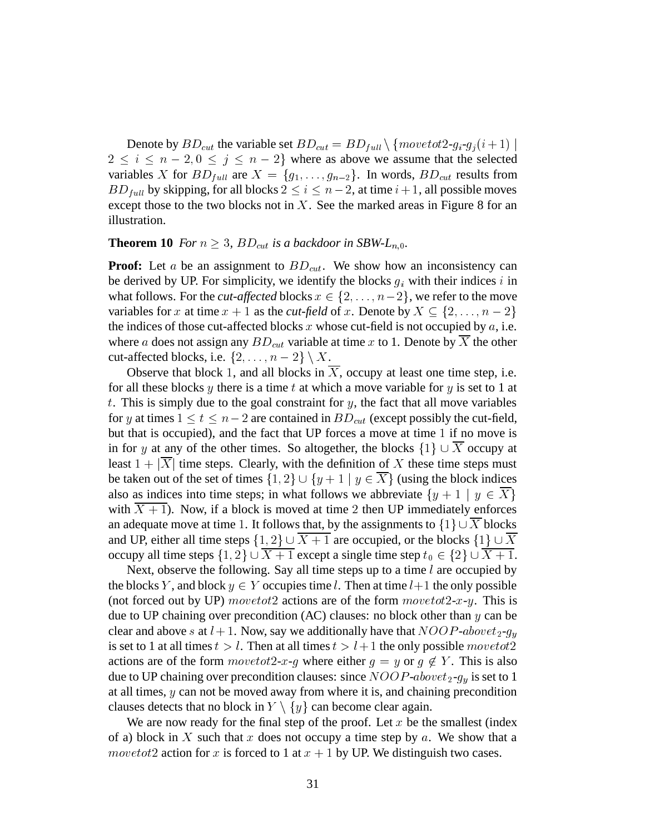Denote by  $BD_{cut}$  the variable set  $BD_{cut} = BD_{full} \setminus \{move tot2-g_i-g_j(i+1) \mid$  $2 \leq i \leq n-2, 0 \leq j \leq n-2$  where as above we assume that the selected variables X for  $BD_{full}$  are  $X = \{g_1, \ldots, g_{n-2}\}.$  In words,  $BD_{cut}$  results from  $BD_{full}$  by skipping, for all blocks  $2 \le i \le n-2$ , at time  $i+1$ , all possible moves except those to the two blocks not in  $X$ . See the marked areas in Figure 8 for an illustration.

#### **Theorem 10** *For*  $n \geq 3$ ,  $BD_{cut}$  *is a backdoor in SBW-L*<sub>n.0</sub>.

**Proof:** Let  $a$  be an assignment to  $BD_{cut}$ . We show how an inconsistency can be derived by UP. For simplicity, we identify the blocks  $g_i$  with their indices  $i$  in what follows. For the *cut-affected* blocks  $x \in \{2, \ldots, n-2\}$ , we refer to the move variables for x at time  $x + 1$  as the *cut-field* of x. Denote by  $X \subseteq \{2, ..., n - 2\}$ the indices of those cut-affected blocks  $x$  whose cut-field is not occupied by  $a$ , i.e. where a does not assign any  $BD_{cut}$  variable at time x to 1. Denote by X the other cut-affected blocks, i.e.  $\{2, \ldots, n-2\} \setminus X$ .

Observe that block 1, and all blocks in  $X$ , occupy at least one time step, i.e. for all these blocks  $y$  there is a time  $t$  at which a move variable for  $y$  is set to 1 at  $t$ . This is simply due to the goal constraint for  $y$ , the fact that all move variables for y at times  $1 \le t \le n-2$  are contained in  $BD_{cut}$  (except possibly the cut-field, but that is occupied), and the fact that UP forces a move at time  $1$  if no move is in for y at any of the other times. So altogether, the blocks  $\{1\} \cup X$  occupy at least  $1 + |X|$  time steps. Clearly, with the definition of X these time steps must be taken out of the set of times  $\{1,2\} \cup \{y+1 \mid y \in X\}$  (using the block indices also as indices into time steps; in what follows we abbreviate  $\{y+1 \mid y \in X\}$ with  $\overline{X+1}$ ). Now, if a block is moved at time 2 then UP immediately enforces an adequate move at time 1. It follows that, by the assignments to  $\{1\} \cup X$  blocks and UP, either all time steps  $\{1,2\} \cup X + 1$  are occupied, or the blocks  $\{1\} \cup X$ occupy all time steps  $\{1,2\} \cup X + 1$  except a single time step  $t_0 \in \{2\} \cup X + 1$ .

Next, observe the following. Say all time steps up to a time  $l$  are occupied by the blocks Y, and block  $y \in Y$  occupies time l. Then at time  $l+1$  the only possible (not forced out by UP) *movetot*2 actions are of the form  $movet{ot2-x-y}$ . This is due to UP chaining over precondition (AC) clauses: no block other than  $y$  can be clear and above s at  $l + 1$ . Now, say we additionally have that  $NOOP-above_{2-}g_{u}$ is set to 1 at all times  $t > l$ . Then at all times  $t > l + 1$  the only possible move to the actions are of the form  $movetot2-x-g$  where either  $g = y$  or  $g \notin Y$ . This is also due to UP chaining over precondition clauses: since  $NOOP$ -above $t_2$ - $g_y$  is set to 1 at all times,  $y$  can not be moved away from where it is, and chaining precondition clauses detects that no block in  $Y \setminus \{y\}$  can become clear again.

We are now ready for the final step of the proof. Let  $x$  be the smallest (index of a) block in X such that  $x$  does not occupy a time step by  $a$ . We show that a movet ot 2 action for x is forced to 1 at  $x + 1$  by UP. We distinguish two cases.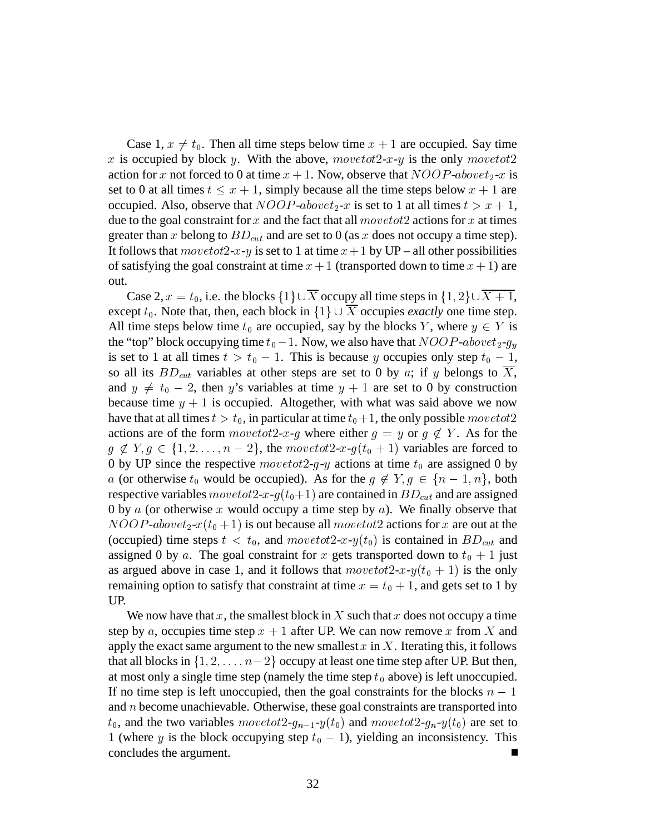Case 1,  $x \neq t_0$ . Then all time steps below time  $x + 1$  are occupied. Say time x is occupied by block y. With the above,  $move tot2-x-y$  is the only  $move tot2$ action for x not forced to 0 at time  $x + 1$ . Now, observe that  $NOOP \cdot above t_2$ -x is set to 0 at all times  $t \leq x + 1$ , simply because all the time steps below  $x + 1$  are occupied. Also, observe that  $NOOP$ -above $t_2$ -x is set to 1 at all times  $t > x + 1$ , due to the goal constraint for  $x$  and the fact that all  $move tot2$  actions for  $x$  at times greater than x belong to  $BD_{cut}$  and are set to 0 (as x does not occupy a time step). It follows that  $move tot2-x-y$  is set to 1 at time  $x+1$  by UP – all other possibilities of satisfying the goal constraint at time  $x + 1$  (transported down to time  $x + 1$ ) are out.

Case 2,  $x = t_0$ , i.e. the blocks  $\{1\} \cup X$  occupy all time steps in  $\{1, 2\} \cup X + 1$ , except  $t_0$ . Note that, then, each block in  $\{1\} \cup X$  occupies *exactly* one time step. All time steps below time  $t_0$  are occupied, say by the blocks Y, where  $y \in Y$  is the "top" block occupying time  $t_0$  – 1. Now, we also have that  $NOOP$ -above $t_2$ -g<sub>u</sub> is set to 1 at all times  $t > t_0 - 1$ . This is because y occupies only step  $t_0 - 1$ , so all its  $BD_{cut}$  variables at other steps are set to 0 by a; if y belongs to X, and  $y \neq t_0 - 2$ , then y's variables at time  $y + 1$  are set to 0 by construction because time  $y + 1$  is occupied. Altogether, with what was said above we now have that at all times  $t > t_0$ , in particular at time  $t_0 + 1$ , the only possible  $move tot2$ actions are of the form  $move tot2-x-g$  where either  $g = y$  or  $g \notin Y$ . As for the  $g \notin Y, g \in \{1, 2, \ldots, n-2\}$ , the  $movetot2-x-g(t_0+1)$  variables are forced to 0 by UP since the respective  $\text{move} \text{tot} 2-g-y$  actions at time  $t_0$  are assigned 0 by a (or otherwise  $t_0$  would be occupied). As for the  $g \notin Y, g \in \{n-1, n\}$ , both respective variables  $move tot2-x-g(t_0+1)$  are contained in  $BD_{cut}$  and are assigned 0 by  $\alpha$  (or otherwise  $x$  would occupy a time step by  $\alpha$ ). We finally observe that  $NOOP$ -above $t_2$ - $x(t_0 + 1)$  is out because all  $move tot2$  actions for x are out at the (occupied) time steps  $t < t_0$ , and  $move tot2-x-y(t_0)$  is contained in  $BD_{cut}$  and assigned 0 by a. The goal constraint for x gets transported down to  $t_0 + 1$  just as argued above in case 1, and it follows that  $move tot2-x-y(t_0 + 1)$  is the only remaining option to satisfy that constraint at time  $x = t_0 + 1$ , and gets set to 1 by UP.

We now have that  $x$ , the smallest block in  $X$  such that  $x$  does not occupy a time step by a, occupies time step  $x + 1$  after UP. We can now remove x from X and apply the exact same argument to the new smallest  $x$  in  $X$ . Iterating this, it follows that all blocks in  $\{1, 2, \ldots, n-2\}$  occupy at least one time step after UP. But then, at most only a single time step (namely the time step  $t_0$  above) is left unoccupied. If no time step is left unoccupied, then the goal constraints for the blocks  $n-1$ and  $n$  become unachievable. Otherwise, these goal constraints are transported into  $t_0$ , and the two variables  $move tot2-g_{n-1}-y(t_0)$  and  $move tot2-g_n-y(t_0)$  are set to 1 (where y is the block occupying step  $t_0 - 1$ ), yielding an inconsistency. This concludes the argument.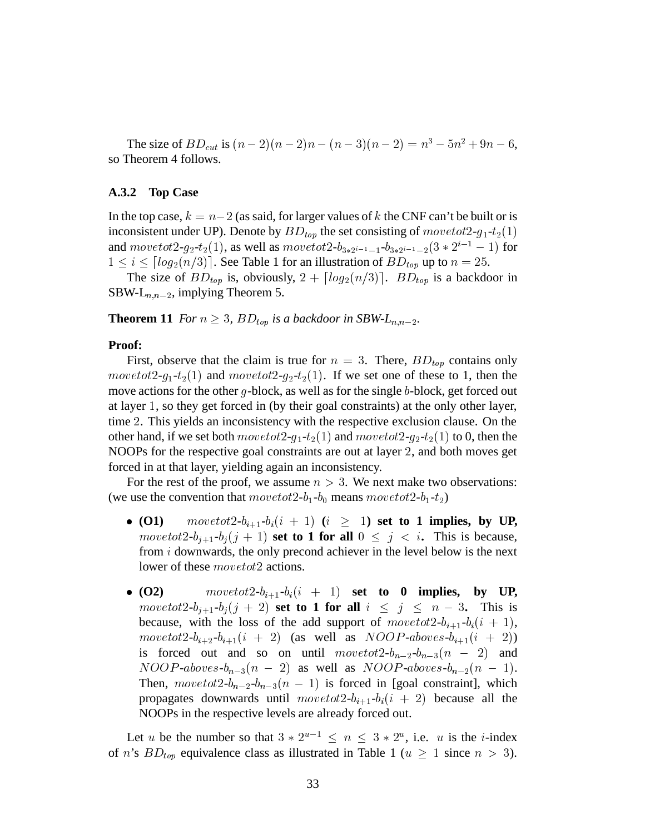The size of  $BD_{cut}$  is  $(n - 2)(n - 2)n - (n - 3)(n - 2) = n^3 - 5n^2 + 9n - 6$ , so Theorem 4 follows.

#### **A.3.2 Top Case**

In the top case,  $k = n-2$  (as said, for larger values of k the CNF can't be built or is inconsistent under UP). Denote by  $BD_{top}$  the set consisting of  $move tot2-g_1-t_2(1)$ and  $movetot2-g_2-t_2(1)$ , as well as  $movetot2-b_{3*2^{i-1}-1}-b_{3*2^{i-1}-2}(3*2^{i-1}-1)$  for  $1 \leq i \leq \lceil log_2(n/3) \rceil$ . See Table 1 for an illustration of  $BD_{top}$  up to  $n = 25$ .

The size of  $BD_{top}$  is, obviously,  $2 + \lceil log_2(n/3) \rceil$ .  $BD_{top}$  is a backdoor in SBW-L $_{n,n-2}$ , implying Theorem 5.

**Theorem 11** *For*  $n \geq 3$ ,  $BD_{top}$  *is a backdoor in SBW-L*<sub>n,n-2</sub>.

#### **Proof:**

First, observe that the claim is true for  $n = 3$ . There,  $BD_{top}$  contains only  $movetot2-g_1-t_2(1)$  and  $movetot2-g_2-t_2(1)$ . If we set one of these to 1, then the move actions for the other  $g$ -block, as well as for the single  $b$ -block, get forced out at layer 1, so they get forced in (by their goal constraints) at the only other layer, time <sup>3</sup>. This yields an inconsistency with the respective exclusion clause. On the other hand, if we set both  $movetot2-q_1-t_2(1)$  and  $movetot2-q_2-t_2(1)$  to 0, then the NOOPs for the respective goal constraints are out at layer <sup>3</sup>, and both moves get forced in at that layer, yielding again an inconsistency.

For the rest of the proof, we assume  $n > 3$ . We next make two observations: (we use the convention that  $move tot2-b_1-b_0$  means  $move tot2-b_1-t_2)$ 

- **(O1)**  $\qquad \text{novetot2-b}_{i+1} \text{-} b_i (i + 1) \text{ } (i \geq 1) \text{ set to 1 implies, by UP,}$ movetot2- $b_{i+1}$ - $b_i(j+1)$  set to 1 for all  $0 \leq j \leq i$ . This is because, from  $i$  downwards, the only precond achiever in the level below is the next lower of these *movetot*2 actions.
- (O2)  $\qquad \qquad movetot2-b_{i+1}-b_i(i+1)$  set to 0 implies, by UP, movetot2- $b_{j+1}$ - $b_j(j+2)$  set to 1 for all  $i \leq j \leq n-3$ . This is because, with the loss of the add support of  $movetot 2-b_{i+1}-b_i(i+1)$ , movetot2- $b_{i+2}$ - $b_{i+1}(i + 2)$  (as well as  $NOOP$ -aboves- $b_{i+1}(i + 2)$ ) is forced out and so on until  $movetot2-b_{n-2}-b_{n-3}(n-2)$  and  $NOOP\text{-}above\text{-}b_{n-3}(n-2)$  as well as  $NOOP\text{-}above\text{-}b_{n-2}(n-1)$ . Then,  $movetot 2-b_{n-2}-b_{n-3}(n-1)$  is forced in [goal constraint], which propagates downwards until  $move tot2-b_{i+1}-b_i(i + 2)$  because all the NOOPs in the respective levels are already forced out.

Let u be the number so that  $3 \times 2^{u-1} \le n \le 3 \times 2^u$ , i.e. u is the *i*-index of *n*'s  $BD_{top}$  equivalence class as illustrated in Table 1 ( $u \ge 1$  since  $n > 3$ ).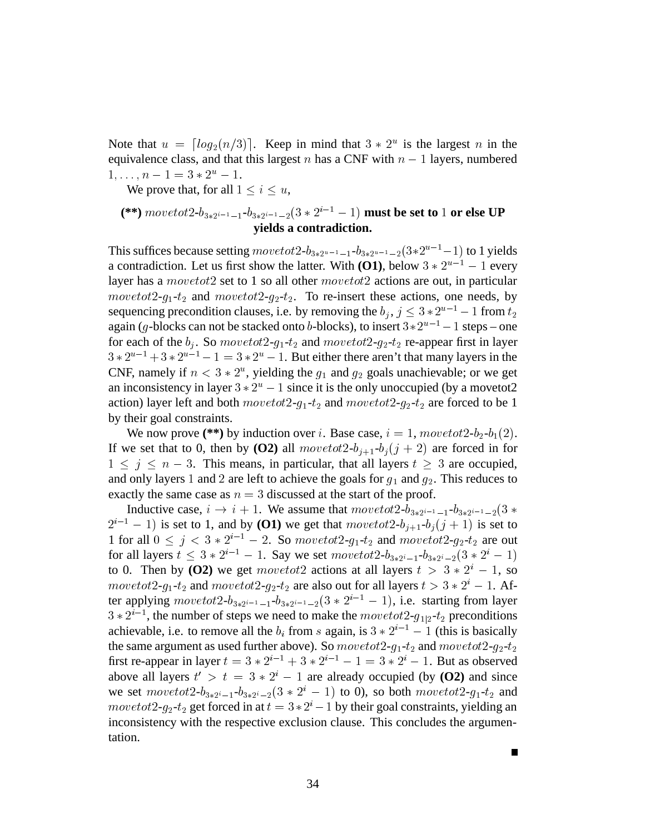Note that  $u = \lfloor log_2(n/3) \rfloor$ . Keep in mind that  $3 * 2^u$  is the largest n in the equivalence class, and that this largest  $n$  has a CNF with  $n - 1$  layers, numbered  $1, \ldots, n - 1 = 3 * 2^u - 1.$ 

We prove that, for all  $1 \leq i \leq u$ ,

## (\*\*)  ${move} to t2-b_{3*2^{i-1}-1}-b_{3*2^{i-1}-2}(3*2^{i-1}-1)$   ${\bf must \ be \ set \ to \ } 1 \ {\bf or \ else \ } {\bf UP}$ **yields a contradiction.**

This suffices because setting  $move tot2-b_{3*2^{u-1}-1}-b_{3*2^{u-1}-2}(3*2^{u-1}-1)$  to 1 yields a contradiction. Let us first show the latter. With **(O1)**, below  $3 * 2^{u-1} - 1$  every layer has a *movetot* 2 set to 1 so all other  $movetot2$  actions are out, in particular  $movetot2-g_1-t_2$  and  $movetot2-g_2-t_2$ . To re-insert these actions, one needs, by sequencing precondition clauses, i.e. by removing the  $b_j$ ,  $j \leq 3 * 2^{u-1} - 1$  from  $t_2$ again (g-blocks can not be stacked onto b-blocks), to insert  $3 \times 2^{u-1} - 1$  steps – one for each of the  $b_i$ . So move to  $t2 - g_1 - t_2$  and move to  $t2 - g_2 - t_2$  re-appear first in layer  $3 * 2^{u-1} + 3 * 2^{u-1} - 1 = 3 * 2^u - 1$ . But either there aren't that many layers in the CNF, namely if  $n < 3 \times 2^n$ , yielding the  $g_1$  and  $g_2$  goals unachievable; or we get an inconsistency in layer  $3 * 2<sup>u</sup> - 1$  since it is the only unoccupied (by a movetot2 action) layer left and both  $move tot2-g_1-t_2$  and  $move tot2-g_2-t_2$  are forced to be 1 by their goal constraints.

We now prove (\*\*) by induction over *i*. Base case,  $i = 1$ ,  $movedt2-b_2-b_1(2)$ . If we set that to 0, then by **(O2)** all  $move tot2-b_{i+1}-b_i(j+2)$  are forced in for  $1 \leq j \leq n-3$ . This means, in particular, that all layers  $t \geq 3$  are occupied, and only layers 1 and 2 are left to achieve the goals for  $g_1$  and  $g_2$ . This reduces to exactly the same case as  $n = 3$  discussed at the start of the proof.

Inductive case,  $i \to i + 1$ . We assume that  $move tot2-b_{3*2^{i-1}-1}-b_{3*2^{i-1}-2}(3*)$  $2^{i-1} - 1$ ) is set to 1, and by **(O1)** we get that  $move tot2-b_{i+1}-b_i(j+1)$  is set to 1 for all  $0 \leq j < 3 * 2^{i-1} - 2$ . So move to  $t2 - g_1 - t_2$  and move to  $t2 - g_2 - t_2$  are out for all layers  $t \leq 3 * 2^{i-1} - 1$ . Say we set  $move tot2-b_{3 * 2^{i}-1}-b_{3 * 2^{i}-2}(3 * 2^{i}-1)$ to 0. Then by (O2) we get  $movetot2$  actions at all layers  $t > 3 * 2^i - 1$ , so movetot2- $g_1$ - $t_2$  and movetot2- $g_2$ - $t_2$  are also out for all layers  $t > 3 * 2^i - 1$ . After applying  $move tot2-b_{3*2^{i-1}-1}-b_{3*2^{i-1}-2}(3 * 2^{i-1}-1)$ , i.e. starting from layer  $3 * 2^{i-1}$ , the number of steps we need to make the  $move tot2-g_{1|2}-t_2$  preconditions achievable, i.e. to remove all the  $b_i$  from s again, is  $3 * 2^{i-1} - 1$  (this is basically the same argument as used further above). So  $movetot2-q_1-t_2$  and  $movetot2-q_2-t_2$ first re-appear in layer  $t = 3 * 2^{i-1} + 3 * 2^{i-1} - 1 = 3 * 2^i - 1$ . But as observed above all layers  $t' > t = 3 * 2^{i} - 1$  are already occupied (by **(O2)** and since we set  $move tot2-b_{3*2^{i}-1}-b_{3*2^{i}-2}(3 * 2^{i}-1)$  to 0), so both  $move tot2-g_{1}-t_{2}$  and *movetot* 2- $g_2$ - $t_2$  get forced in at  $t = 3 * 2^{i} - 1$  by their goal constraints, yielding an inconsistency with the respective exclusion clause. This concludes the argumentation.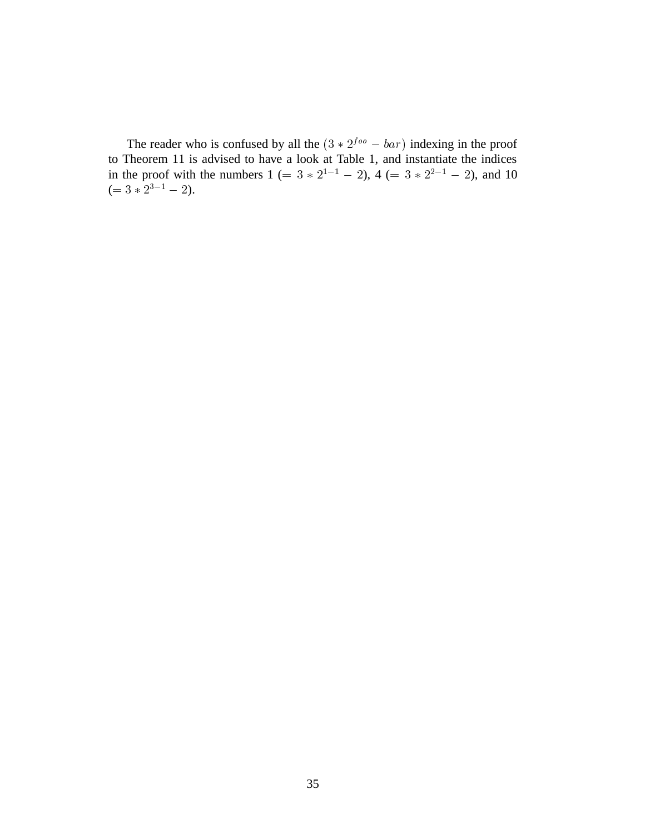The reader who is confused by all the  $(3 * 2<sup>foo</sup> - bar)$  indexing in the proof to Theorem 11 is advised to have a look at Table 1, and instantiate the indices in the proof with the numbers  $1 (= 3 * 2^{1-1} - 2)$ ,  $4 (= 3 * 2^{2-1} - 2)$ , and 10  $(= 3 * 2^{3-1} - 2).$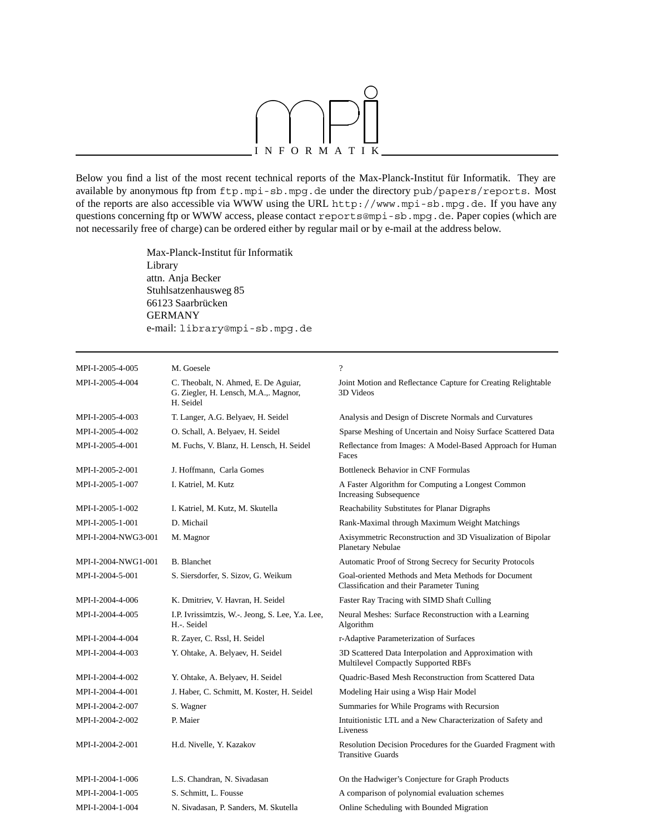

Below you find a list of the most recent technical reports of the Max-Planck-Institut für Informatik. They are available by anonymous ftp from ftp.mpi-sb.mpg.de under the directory pub/papers/reports. Most of the reports are also accessible via WWW using the URL http://www.mpi-sb.mpg.de. If you have any questions concerning ftp or WWW access, please contact reports@mpi-sb.mpg.de. Paper copies (which are not necessarily free of charge) can be ordered either by regular mail or by e-mail at the address below.

> Max-Planck-Institut für Informatik Library attn. Anja Becker Stuhlsatzenhausweg 85 66123 Saarbrücken GERMANY e-mail: library@mpi-sb.mpg.de

| MPI-I-2005-4-005    | M. Goesele                                                                                 | $\overline{\mathcal{L}}$                                                                         |
|---------------------|--------------------------------------------------------------------------------------------|--------------------------------------------------------------------------------------------------|
| MPI-I-2005-4-004    | C. Theobalt, N. Ahmed, E. De Aguiar,<br>G. Ziegler, H. Lensch, M.A.,. Magnor,<br>H. Seidel | Joint Motion and Reflectance Capture for Creating Relightable<br>3D Videos                       |
| MPI-I-2005-4-003    | T. Langer, A.G. Belyaev, H. Seidel                                                         | Analysis and Design of Discrete Normals and Curvatures                                           |
| MPI-I-2005-4-002    | O. Schall, A. Belyaev, H. Seidel                                                           | Sparse Meshing of Uncertain and Noisy Surface Scattered Data                                     |
| MPI-I-2005-4-001    | M. Fuchs, V. Blanz, H. Lensch, H. Seidel                                                   | Reflectance from Images: A Model-Based Approach for Human<br>Faces                               |
| MPI-I-2005-2-001    | J. Hoffmann. Carla Gomes                                                                   | <b>Bottleneck Behavior in CNF Formulas</b>                                                       |
| MPI-I-2005-1-007    | I. Katriel, M. Kutz                                                                        | A Faster Algorithm for Computing a Longest Common<br><b>Increasing Subsequence</b>               |
| MPI-I-2005-1-002    | I. Katriel, M. Kutz, M. Skutella                                                           | Reachability Substitutes for Planar Digraphs                                                     |
| MPI-I-2005-1-001    | D. Michail                                                                                 | Rank-Maximal through Maximum Weight Matchings                                                    |
| MPI-I-2004-NWG3-001 | M. Magnor                                                                                  | Axisymmetric Reconstruction and 3D Visualization of Bipolar<br>Planetary Nebulae                 |
| MPI-I-2004-NWG1-001 | <b>B.</b> Blanchet                                                                         | Automatic Proof of Strong Secrecy for Security Protocols                                         |
| MPI-I-2004-5-001    | S. Siersdorfer, S. Sizov, G. Weikum                                                        | Goal-oriented Methods and Meta Methods for Document<br>Classification and their Parameter Tuning |
| MPI-I-2004-4-006    | K. Dmitriev, V. Havran, H. Seidel                                                          | Faster Ray Tracing with SIMD Shaft Culling                                                       |
| MPI-I-2004-4-005    | I.P. Ivrissimtzis, W.-. Jeong, S. Lee, Y.a. Lee,<br>H.-. Seidel                            | Neural Meshes: Surface Reconstruction with a Learning<br>Algorithm                               |
| MPI-I-2004-4-004    | R. Zayer, C. Rssl, H. Seidel                                                               | r-Adaptive Parameterization of Surfaces                                                          |
| MPI-I-2004-4-003    | Y. Ohtake, A. Belyaev, H. Seidel                                                           | 3D Scattered Data Interpolation and Approximation with<br>Multilevel Compactly Supported RBFs    |
| MPI-I-2004-4-002    | Y. Ohtake, A. Belyaev, H. Seidel                                                           | Quadric-Based Mesh Reconstruction from Scattered Data                                            |
| MPI-I-2004-4-001    | J. Haber, C. Schmitt, M. Koster, H. Seidel                                                 | Modeling Hair using a Wisp Hair Model                                                            |
| MPI-I-2004-2-007    | S. Wagner                                                                                  | Summaries for While Programs with Recursion                                                      |
| MPI-I-2004-2-002    | P. Maier                                                                                   | Intuitionistic LTL and a New Characterization of Safety and<br>Liveness                          |
| MPI-I-2004-2-001    | H.d. Nivelle, Y. Kazakov                                                                   | Resolution Decision Procedures for the Guarded Fragment with<br><b>Transitive Guards</b>         |
| MPI-I-2004-1-006    | L.S. Chandran, N. Sivadasan                                                                | On the Hadwiger's Conjecture for Graph Products                                                  |
| MPI-I-2004-1-005    | S. Schmitt, L. Fousse                                                                      | A comparison of polynomial evaluation schemes                                                    |
| MPI-I-2004-1-004    | N. Sivadasan, P. Sanders, M. Skutella                                                      | Online Scheduling with Bounded Migration                                                         |